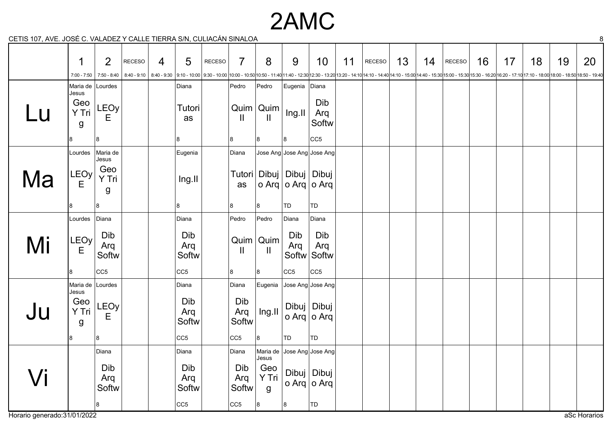### 2AMC

CETIS 107, AVE. JOSÉ C. VALADEZ Y CALLE TIERRA S/N, CULIACÁN SINALOA 8

|                             | 1                                              | $\overline{2}$      | <b>RECESO</b> | 4 | 5                            | RECESO | $\overline{7}$               | 8                           | 9                                                   | 10 <sup>°</sup>                                           | 11 | RECESO                                                                                                                                                                                                                         | 13 | 14 | RECESO | 16 | 17 | 18 | 19 | 20           |
|-----------------------------|------------------------------------------------|---------------------|---------------|---|------------------------------|--------|------------------------------|-----------------------------|-----------------------------------------------------|-----------------------------------------------------------|----|--------------------------------------------------------------------------------------------------------------------------------------------------------------------------------------------------------------------------------|----|----|--------|----|----|----|----|--------------|
|                             | $7:00 - 7:50$                                  | $7:50 - 8:40$       | $8:40 - 9:10$ |   |                              |        |                              |                             |                                                     |                                                           |    | 8:40-9:30  9:10-10:00  9:30-10:00  9:30-10:00  10:00-10:50 10:50-11:40 11:40-12:30 12:30-13:20 13:20-14:10 14:10-14:40 4:10-15:00 14:40-15:30 15:00-15:30 15:30-15:30 15:30-16:20 16:20-17:10 17:10-18:00 18:00-18:50 18:50-19 |    |    |        |    |    |    |    |              |
|                             | Maria de Lourdes<br>Jesus                      |                     |               |   | Diana                        |        | Pedro                        | Pedro                       | Eugenia Diana                                       |                                                           |    |                                                                                                                                                                                                                                |    |    |        |    |    |    |    |              |
| LU                          | Geo<br>Y Tri<br>g                              | LEOy<br>Е           |               |   | Tutori<br>as                 |        | $\mathbf{H}$                 | $Quim$ Quim<br>$\mathbf{H}$ | Ing.II                                              | Dib<br>Arq<br>Softw                                       |    |                                                                                                                                                                                                                                |    |    |        |    |    |    |    |              |
|                             | 8                                              | 8                   |               |   | 8                            |        | 8                            | 8                           | 8                                                   | CC5                                                       |    |                                                                                                                                                                                                                                |    |    |        |    |    |    |    |              |
|                             | Lourdes                                        | Maria de<br>Jesus   |               |   | Eugenia                      |        | Diana                        |                             |                                                     | Jose Ang Jose Ang Jose Ang                                |    |                                                                                                                                                                                                                                |    |    |        |    |    |    |    |              |
| Ma                          | LEOy<br>E                                      | Geo<br>Y Tri<br>g   |               |   | Ing.II                       |        | as                           |                             | Tutori   Dibuj   Dibuj   Dibuj<br>o Arq o Arq o Arq |                                                           |    |                                                                                                                                                                                                                                |    |    |        |    |    |    |    |              |
|                             | 8                                              | 8                   |               |   | 8                            |        | 8                            | 8                           | TD                                                  | TD                                                        |    |                                                                                                                                                                                                                                |    |    |        |    |    |    |    |              |
|                             | Lourdes                                        | Diana               |               |   | Diana                        |        | Pedro                        | Pedro                       | Diana                                               | Diana                                                     |    |                                                                                                                                                                                                                                |    |    |        |    |    |    |    |              |
| Mi                          | LEOy<br>E                                      | Dib<br>Arq<br>Softw |               |   | Dib<br>Arq<br>Softw          |        | $\mathbf{  }$                | $Quim$ Quim<br>Ш.           | Dib<br>Arq                                          | Dib<br>Arq<br>Softw Softw                                 |    |                                                                                                                                                                                                                                |    |    |        |    |    |    |    |              |
|                             | 81                                             | CC <sub>5</sub>     |               |   | CC <sub>5</sub>              |        | 8                            | 8                           | CC5                                                 | CC5                                                       |    |                                                                                                                                                                                                                                |    |    |        |    |    |    |    |              |
| JU                          | Maria de Lourdes<br>Jesus<br>Geo<br>Y Tri<br>g | LEOy<br>E           |               |   | Diana<br>Dib<br>Arq<br>Softw |        | Diana<br>Dib<br>Arq<br>Softw | Ing.II                      |                                                     | Eugenia Jose Ang Jose Ang<br>Dibuj   Dibuj<br>o Arq o Arq |    |                                                                                                                                                                                                                                |    |    |        |    |    |    |    |              |
|                             | 8                                              | 8                   |               |   | CC <sub>5</sub>              |        | CC <sub>5</sub>              | 8                           | TD                                                  | TD                                                        |    |                                                                                                                                                                                                                                |    |    |        |    |    |    |    |              |
|                             |                                                | Diana               |               |   | Diana                        |        | Diana                        | Maria de<br>Jesus           |                                                     | Jose Ang Jose Ang                                         |    |                                                                                                                                                                                                                                |    |    |        |    |    |    |    |              |
|                             |                                                | Dib<br>Arq<br>Softw |               |   | Dib<br>Arq<br>Softw          |        | Dib<br>Arq<br>Softw          | Geo<br>Y Tri<br>g           |                                                     | Dibuj   Dibuj<br>o Arq o Arq                              |    |                                                                                                                                                                                                                                |    |    |        |    |    |    |    |              |
|                             |                                                | 8                   |               |   | CC <sub>5</sub>              |        | CC5                          | 8                           | 8                                                   | TD                                                        |    |                                                                                                                                                                                                                                |    |    |        |    |    |    |    |              |
| Horario generado:31/01/2022 |                                                |                     |               |   |                              |        |                              |                             |                                                     |                                                           |    |                                                                                                                                                                                                                                |    |    |        |    |    |    |    | aSc Horarios |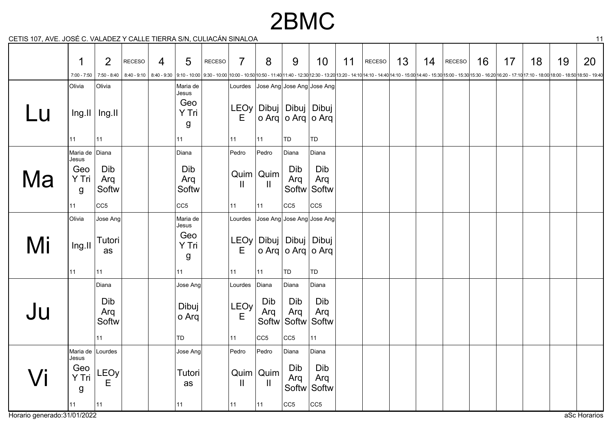### 2BMC

CETIS 107, AVE. JOSÉ C. VALADEZ Y CALLE TIERRA S/N, CULIACÁN SINALOA 11

|                              | 1                         | $\overline{2}$              | <b>RECESO</b> | 4 | $5\overline{)}$     | RECESO | $\overline{7}$ | 8                           | 9                                                 | 10                         | 11 | RECESO                                                                                                                                                                                                                          | 13 | 14 | RECESO | 16 | 17 | 18 | 19 | 20           |
|------------------------------|---------------------------|-----------------------------|---------------|---|---------------------|--------|----------------|-----------------------------|---------------------------------------------------|----------------------------|----|---------------------------------------------------------------------------------------------------------------------------------------------------------------------------------------------------------------------------------|----|----|--------|----|----|----|----|--------------|
|                              | $7:00 - 7:50$             | $7:50 - 8:40$               | $8:40 - 9:10$ |   |                     |        |                |                             |                                                   |                            |    | 8:40-9:30 10:10-10:00 9:30-10:00 10:00-10:00 10:00-10:50 -11:40 11:40-12:30 12:30 - 13:20 13:20-14:10 14:10-14:40 14:10-15:00 14:40-15:30 15:00-15:30 15:00-16:20 16:20-16:20 -17:10 17:10 -18:00 18:00 - 18:50 18:50 - 19:40 1 |    |    |        |    |    |    |    |              |
|                              | Olivia                    | Olivia                      |               |   | Maria de<br>Jesus   |        | Lourdes        |                             |                                                   | Jose Ang Jose Ang Jose Ang |    |                                                                                                                                                                                                                                 |    |    |        |    |    |    |    |              |
| Lu                           |                           | $\ln g$ . II   $\ln g$ . II |               |   | Geo<br>Y Tri<br>g   |        | Е              |                             | LEOy   Dibuj   Dibuj   Dibuj<br>o Arq o Arq o Arq |                            |    |                                                                                                                                                                                                                                 |    |    |        |    |    |    |    |              |
|                              | 11                        | 11                          |               |   | 11                  |        | 11             | 11                          | TD                                                | TD                         |    |                                                                                                                                                                                                                                 |    |    |        |    |    |    |    |              |
|                              | Maria de Diana<br>Jesus   |                             |               |   | Diana               |        | Pedro          | Pedro                       | Diana                                             | Diana                      |    |                                                                                                                                                                                                                                 |    |    |        |    |    |    |    |              |
| Ma                           | Geo<br>Y Tri<br>g         | Dib<br>Arq<br>Softw         |               |   | Dib<br>Arq<br>Softw |        | $\mathbf{I}$   | $Quim$ Quim<br>$\mathbf{H}$ | Dib<br>Arq                                        | Dib<br>Arq<br>Softw Softw  |    |                                                                                                                                                                                                                                 |    |    |        |    |    |    |    |              |
|                              | 11                        | CC <sub>5</sub>             |               |   | CC <sub>5</sub>     |        | 11             | 11                          | CC5                                               | CC5                        |    |                                                                                                                                                                                                                                 |    |    |        |    |    |    |    |              |
|                              | Olivia                    | Jose Ang                    |               |   | Maria de<br>Jesus   |        | Lourdes        |                             |                                                   | Jose Ang Jose Ang Jose Ang |    |                                                                                                                                                                                                                                 |    |    |        |    |    |    |    |              |
| Mi                           | Ing.II                    | Tutori<br>as                |               |   | Geo<br>Y Tri<br>g   |        | Е              |                             | LEOy   Dibuj   Dibuj   Dibuj<br>o Arq o Arq o Arq |                            |    |                                                                                                                                                                                                                                 |    |    |        |    |    |    |    |              |
|                              | 11                        | 11                          |               |   | 11                  |        | 11             | 11                          | TD                                                | TD                         |    |                                                                                                                                                                                                                                 |    |    |        |    |    |    |    |              |
|                              |                           | Diana                       |               |   | Jose Ang            |        | Lourdes        | Diana                       | Diana                                             | Diana                      |    |                                                                                                                                                                                                                                 |    |    |        |    |    |    |    |              |
| Ju                           |                           | Dib<br>Arq<br>Softw         |               |   | Dibuj<br>o Arq      |        | LEOy<br>Ε      | Dib<br>Arq<br>Softw         | Dib<br>Arq<br>Softw Softw                         | Dib<br>Arq                 |    |                                                                                                                                                                                                                                 |    |    |        |    |    |    |    |              |
|                              |                           | 11                          |               |   | TD                  |        | 11             | CC <sub>5</sub>             | CC <sub>5</sub>                                   | 11                         |    |                                                                                                                                                                                                                                 |    |    |        |    |    |    |    |              |
|                              | Maria de Lourdes<br>Jesus |                             |               |   | Jose Ang            |        | Pedro          | Pedro                       | Diana                                             | Diana                      |    |                                                                                                                                                                                                                                 |    |    |        |    |    |    |    |              |
|                              | Geo<br>Y Tri<br>g         | LEOy<br>E                   |               |   | Tutori<br>as        |        | $\mathbf{  }$  | $Quim$ Quim<br>Ш            | Dib<br>Arq                                        | Dib<br>Arq<br>Softw Softw  |    |                                                                                                                                                                                                                                 |    |    |        |    |    |    |    |              |
|                              | 11                        | 11                          |               |   | 11                  |        | 11             | 11                          | CC5                                               | CC <sub>5</sub>            |    |                                                                                                                                                                                                                                 |    |    |        |    |    |    |    |              |
| Horario generado: 31/01/2022 |                           |                             |               |   |                     |        |                |                             |                                                   |                            |    |                                                                                                                                                                                                                                 |    |    |        |    |    |    |    | aSc Horarios |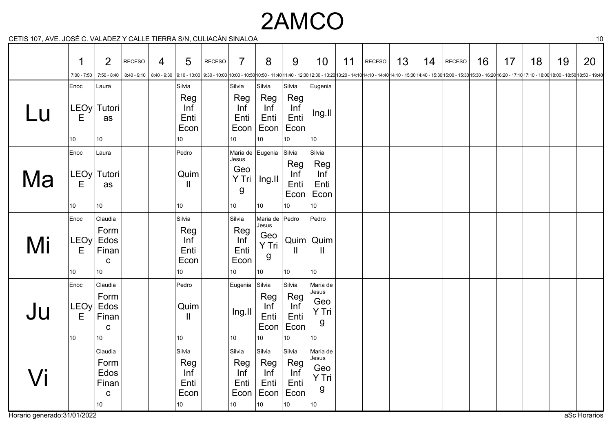# 2AMCO

CETIS 107, AVE. JOSÉ C. VALADEZ Y CALLE TIERRA S/N, CULIACÁN SINALOA 10

|    | 1<br>7:00 - 7:50                     | 2                                                                  | <b>RECESO</b> | 4                         | 5                                                       | <b>RECESO</b> | $\overline{7}$                                          | 8                                                               | 9                                               | 10                                                                                                                                                                                                                                         | 11 | RECESO | 13 | 14 | RECESO | 16 | 17 | 18 | 19 | 20 |
|----|--------------------------------------|--------------------------------------------------------------------|---------------|---------------------------|---------------------------------------------------------|---------------|---------------------------------------------------------|-----------------------------------------------------------------|-------------------------------------------------|--------------------------------------------------------------------------------------------------------------------------------------------------------------------------------------------------------------------------------------------|----|--------|----|----|--------|----|----|----|----|----|
|    | Enoc                                 | 7:50 - 8:40<br>Laura                                               |               | $8:40 - 9:10$ 8:40 - 9:30 | Silvia                                                  |               | Silvia                                                  | Silvia                                                          | Silvia                                          | 9:10-10:00 9:30 - 10:00 10:00 - 10:00 10:00 - 10:50 10:50 - 11:40 11:40 - 12:30 12:30 - 13:20 13:20 - 14:10 14:10 - 14:10 14:10 - 15:00 14:40 - 15:30 15:00 - 15:30 15:00 - 16:30 16:30 - 16:20 16:20 - 17:10 17:10 - 18:50 18:<br>Eugenia |    |        |    |    |        |    |    |    |    |    |
| Lu | E<br>10                              | LEOy Tutori<br>as<br>$10\,$                                        |               |                           | Reg<br>Inf<br>Enti<br>Econ<br>10                        |               | Reg<br>Inf<br>Enti<br>Econ<br>10                        | Reg<br>Inf<br>Enti<br>Econ<br>10                                | Reg<br>Inf<br>Enti<br>Econ<br>10 <sub>1</sub>   | Ing.II<br>$ 10\rangle$                                                                                                                                                                                                                     |    |        |    |    |        |    |    |    |    |    |
| Ma | Enoc<br>LEOy<br>E<br>10              | Laura<br>Tutori<br>as<br>10 <sup>°</sup>                           |               |                           | Pedro<br>Quim<br>$\mathbf{II}$<br>10 <sub>1</sub>       |               | Maria de Eugenia<br>Jesus<br>Geo<br>Y Tri<br>g          | Ing.II<br>10                                                    | Silvia<br>Reg<br>Inf<br>Enti<br>10 <sup>°</sup> | Silvia<br>Reg<br>Inf<br>Enti<br>Econ  Econ<br>10                                                                                                                                                                                           |    |        |    |    |        |    |    |    |    |    |
|    |                                      |                                                                    |               |                           |                                                         |               | 10                                                      |                                                                 |                                                 |                                                                                                                                                                                                                                            |    |        |    |    |        |    |    |    |    |    |
| Mi | Enoc<br>LEOy<br>E<br>10              | Claudia<br>Form<br>Edos<br>Finan<br>${\bf C}$<br>10 <sup>1</sup>   |               |                           | Silvia<br>Reg<br>Inf<br>Enti<br>Econ<br>10              |               | Silvia<br>Reg<br>Inf<br>Enti<br>Econ<br>10              | Maria de Pedro<br>Jesus<br>Geo<br>Y Tri<br>g<br>10 <sub>1</sub> | Ш<br>10 <sup>°</sup>                            | Pedro<br>$Quim$ Quim<br>Ш.<br>10                                                                                                                                                                                                           |    |        |    |    |        |    |    |    |    |    |
| Ju | Enoc<br>LEOy<br>E<br>10 <sup>°</sup> | Claudia<br>Form<br>Edos<br>Finan<br>C<br>10 <sup>°</sup>           |               |                           | Pedro<br>Quim<br>$\mathbf{II}$<br>10 <sup>1</sup>       |               | Eugenia Silvia<br>Ing.II<br>10                          | Reg<br>Inf<br>Enti<br>Econ<br>10                                | Silvia<br>Reg<br>Inf<br>Enti<br>Econ<br>10      | Maria de<br>Jesus<br>Geo<br>Y Tri<br>g<br>10                                                                                                                                                                                               |    |        |    |    |        |    |    |    |    |    |
| /i |                                      | Claudia<br>Form<br>Edos<br>Finan<br>$\mathbf C$<br>10 <sup>°</sup> |               |                           | Silvia<br>Reg<br>Inf<br>Enti<br>Econ<br>10 <sup>1</sup> |               | Silvia<br>Reg<br>Inf<br>Enti<br>Econ<br>10 <sub>1</sub> | Silvia<br>Reg<br>Inf<br>Enti<br>Econ<br>10 <sup>1</sup>         | Silvia<br>Reg<br>Inf<br>Enti<br>Econ<br>10      | Maria de<br>Jesus<br>Geo<br>Y Tri<br>g<br>10                                                                                                                                                                                               |    |        |    |    |        |    |    |    |    |    |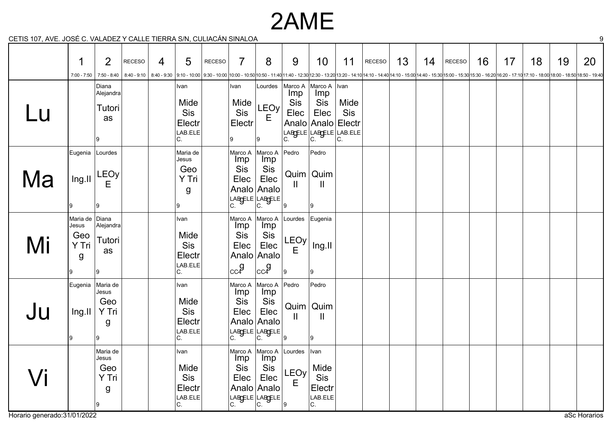## 2AME

CETIS 107, AVE. JOSÉ C. VALADEZ Y CALLE TIERRA S/N, CULIACÁN SINALOA 9

|    | 1<br>$7:00 - 7:50$                                 | $\overline{2}$<br>7:50 - 8:40                      | <b>RECESO</b> | 4 | 5                                                     | <b>RECESO</b> | $\overline{7}$                                          | 8                                                                             | 9                                          | 10                                             | 11                                                                         | <b>RECESO</b> | 13 | 14 | <b>RECESO</b> | 16 | 17 | 18 | 19<br>8:40 - 9:10   8:40 - 9:10   8:40 - 9:10   9:10 - 10:00   9:30 - 10:00   9:30 - 10:00   10:00 - 10:00   10:50 - 11:40 11:40 - 12:30   12:30 - 12:30   12:30 - 12:20 13:20 - 12:40   14:10 - 12:00 14:40 - 15:30   15:00 - 15:30 | 20 |
|----|----------------------------------------------------|----------------------------------------------------|---------------|---|-------------------------------------------------------|---------------|---------------------------------------------------------|-------------------------------------------------------------------------------|--------------------------------------------|------------------------------------------------|----------------------------------------------------------------------------|---------------|----|----|---------------|----|----|----|--------------------------------------------------------------------------------------------------------------------------------------------------------------------------------------------------------------------------------------|----|
| Lu |                                                    | Diana<br>Alejandra<br>Tutori<br>as<br><sub>9</sub> |               |   | Ivan<br>Mide<br>Sis<br>Electr<br>LAB.ELE<br>C.        |               | Ivan<br>Mide<br>Sis<br>Electr<br>Ι9                     | Lourdes<br>LEOy<br>Е<br>9                                                     | Marco A<br><b>Imp</b><br>Sis<br>Elec<br>C. | Marco A<br>Imp<br>Sis<br>Elec<br>C.            | Ivan<br>Mide<br>Sis<br>Analo Analo Electr<br>LABGELE LABGELE LAB.ELE<br>C. |               |    |    |               |    |    |    |                                                                                                                                                                                                                                      |    |
| Ma | Eugenia Lourdes<br>Ing.II<br>9                     | LEOy<br>Ε<br>۱9                                    |               |   | Maria de<br>Jesus<br>Geo<br>Y Tri<br>g<br>9           |               | Marco A<br>Imp<br>Sis<br>Elec<br>LABGELE LABGELE        | Marco A<br>lmp<br>Sis<br>Elec<br>Analo Analo                                  | Pedro<br>$\mathbf{H}$                      | Pedro<br>$Quim$ Quim<br>Ш<br>19                |                                                                            |               |    |    |               |    |    |    |                                                                                                                                                                                                                                      |    |
| Mi | Maria de ∣Diana<br>Jesus<br>Geo<br>Y Tri<br>g<br>9 | Alejandra<br>Tutori<br>as<br>l9.                   |               |   | Ivan<br>Mide<br><b>Sis</b><br>Electr<br>LAB.ELE<br>C. |               | Marco A<br>Imp<br>Sis<br>Elec<br>cc <sup>9</sup>        | Marco A<br>Imp<br>Sis<br>Elec<br>Analo Analo<br>$_{cc}$ g                     | Lourdes Eugenia<br>LEOy<br>E<br>l 9        | Ing.II<br>19                                   |                                                                            |               |    |    |               |    |    |    |                                                                                                                                                                                                                                      |    |
| Ju | Eugenia<br>Ing.II<br>9                             | Maria de<br>Jesus<br>Geo<br>Y Tri<br>g<br>l9.      |               |   | Ivan<br>Mide<br>Sis<br>Electr<br>LAB.ELE<br>C.        |               | Marco A<br>Imp<br><b>Sis</b><br>Elec<br>LABGELE LABGELE | Marco A<br>Imp<br>Sis<br>Elec<br>Analo Analo                                  | Pedro<br>$\mathbf{II}$<br>19               | Pedro<br>Quim   Quim<br>Ш<br>19                |                                                                            |               |    |    |               |    |    |    |                                                                                                                                                                                                                                      |    |
|    |                                                    | Maria de<br>Jesus<br>Geo<br>Y Tri<br>g<br>9        |               |   | Ivan<br>Mide<br>Sis<br>Electr<br>LAB.ELE<br>C.        |               | Imp<br>Sis<br>Elec<br>C.                                | Marco A Marco A<br>Imp<br>Sis<br>Elec<br>Analo Analo<br>LABGELE LABGELE<br>C. | Lourdes<br><b>LEOy</b><br>$\mathsf E$<br>9 | Ivan<br>Mide<br>Sis<br>Electr<br>LAB.ELE<br>C. |                                                                            |               |    |    |               |    |    |    |                                                                                                                                                                                                                                      |    |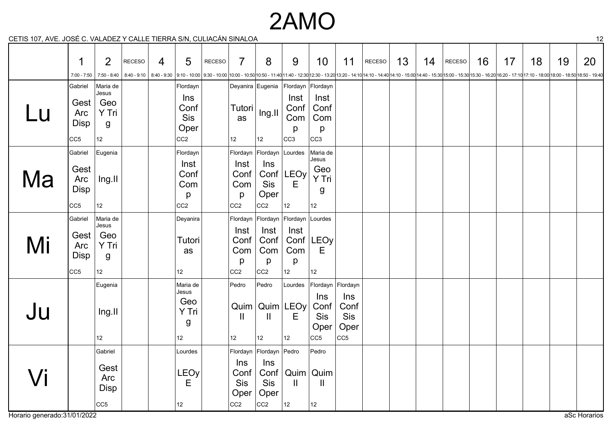## 2AMO

CETIS 107, AVE. JOSÉ C. VALADEZ Y CALLE TIERRA S/N, CULIACÁN SINALOA 12

| $5 - 10$ |                                                   |                                                             |               |                |                                                                                                                                                                                                                                 |               |                                                         |                                                                          |                                             |                                                         |                                               |               |    |    |               |    |    |    |    |    |
|----------|---------------------------------------------------|-------------------------------------------------------------|---------------|----------------|---------------------------------------------------------------------------------------------------------------------------------------------------------------------------------------------------------------------------------|---------------|---------------------------------------------------------|--------------------------------------------------------------------------|---------------------------------------------|---------------------------------------------------------|-----------------------------------------------|---------------|----|----|---------------|----|----|----|----|----|
|          | 1                                                 | $\overline{2}$                                              | <b>RECESO</b> | $\overline{4}$ | 5                                                                                                                                                                                                                               | <b>RECESO</b> | $\overline{7}$                                          | 8                                                                        | 9                                           | 10                                                      | 11                                            | <b>RECESO</b> | 13 | 14 | <b>RECESO</b> | 16 | 17 | 18 | 19 | 20 |
|          | $7:00 - 7:50$                                     | 7:50 - 8:40                                                 |               |                | 8:40 - 9:10   8:40 - 9:10   8:40 - 9:10   9:10 - 10:00   9:30 - 10:00   10:00 - 10:00   10:00 - 10:00   10:50 - 11:40   11:40 - 12:30   12:30 - 12:30   12:30 - 12:20 13:20 - 14:10   14:10 - 12:00 14:40 - 15:00   16:00 - 15: |               |                                                         |                                                                          |                                             |                                                         |                                               |               |    |    |               |    |    |    |    |    |
|          | Gabriel                                           | Maria de                                                    |               |                | Flordayn                                                                                                                                                                                                                        |               |                                                         | Deyanira Eugenia                                                         | Flordayn Flordayn                           |                                                         |                                               |               |    |    |               |    |    |    |    |    |
| Lu       | Gest<br>Arc<br>Disp<br>CC <sub>5</sub>            | Jesus<br>Geo<br>Y Tri<br>g<br>$12 \overline{ }$             |               |                | Ins<br>Conf<br><b>Sis</b><br>Oper<br>CC <sub>2</sub>                                                                                                                                                                            |               | Tutori<br>as<br>12                                      | Ing.II<br>12                                                             | Inst<br>Conf<br>Com<br>p<br>CC <sub>3</sub> | Inst<br>Conf<br>Com<br>p<br>CC <sub>3</sub>             |                                               |               |    |    |               |    |    |    |    |    |
|          | Gabriel                                           | Eugenia                                                     |               |                | Flordayn                                                                                                                                                                                                                        |               | Flordayn                                                | Flordayn Lourdes                                                         |                                             | Maria de                                                |                                               |               |    |    |               |    |    |    |    |    |
| Ma       | Gest<br>Arc<br><b>Disp</b>                        | Ing.II<br>12                                                |               |                | Inst<br>Conf<br>Com<br>p<br>CC <sub>2</sub>                                                                                                                                                                                     |               | Inst<br>Conf<br>Com<br>p                                | Ins<br>Conf<br>Sis<br>Oper<br>CC <sub>2</sub>                            | LEOy<br>E<br>12                             | Jesus<br>Geo<br>Y Tri<br>g<br>12                        |                                               |               |    |    |               |    |    |    |    |    |
|          | CC <sub>5</sub>                                   |                                                             |               |                |                                                                                                                                                                                                                                 |               | CC <sub>2</sub>                                         |                                                                          |                                             |                                                         |                                               |               |    |    |               |    |    |    |    |    |
| Mi       | Gabriel<br>Gest<br>Arc<br>Disp<br>CC <sub>5</sub> | Maria de<br>Jesus<br>Geo<br>Y Tri<br>g<br>$12 \overline{ }$ |               |                | Deyanira<br>Tutori<br>as<br>$12 \overline{ }$                                                                                                                                                                                   |               | Flordayn<br>Inst<br>Conf<br>Com<br>p<br>CC <sub>2</sub> | Flordayn Flordayn Lourdes<br>Inst<br>Conf<br>Com<br>p<br>CC <sub>2</sub> | Inst<br>Conf<br>Com<br>p<br>12 <sup>°</sup> | LEOy<br>Е<br>12                                         |                                               |               |    |    |               |    |    |    |    |    |
| Ju       |                                                   | Eugenia<br>Ing.II<br>12                                     |               |                | Maria de<br>Jesus<br>Geo<br>Y Tri<br>g<br>12 <sup>°</sup>                                                                                                                                                                       |               | Pedro<br>$\mathbf{I}$<br>12                             | Pedro<br>Quim   Quim   LEOy<br>Ш<br>12                                   | Lourdes<br>Е<br>12                          | Flordayn Flordayn<br>Ins<br>Conf<br>Sis<br>Oper<br> CC5 | Ins<br>Conf<br>Sis<br>Oper<br>CC <sub>5</sub> |               |    |    |               |    |    |    |    |    |
| Vi       |                                                   | Gabriel<br>Gest<br>Arc<br><b>Disp</b>                       |               |                | Lourdes<br>LEOy<br>E                                                                                                                                                                                                            |               | Ins<br>Conf<br>Sis<br>Oper                              | Flordayn Flordayn Pedro<br>Ins<br>Conf<br><b>Sis</b><br>Oper             | Ш                                           | Pedro<br>Quim   Quim<br>Ш                               |                                               |               |    |    |               |    |    |    |    |    |
|          |                                                   | CC5                                                         |               |                | $12 \overline{ }$                                                                                                                                                                                                               |               | CC <sub>2</sub>                                         | CC <sub>2</sub>                                                          | 12                                          | 12                                                      |                                               |               |    |    |               |    |    |    |    |    |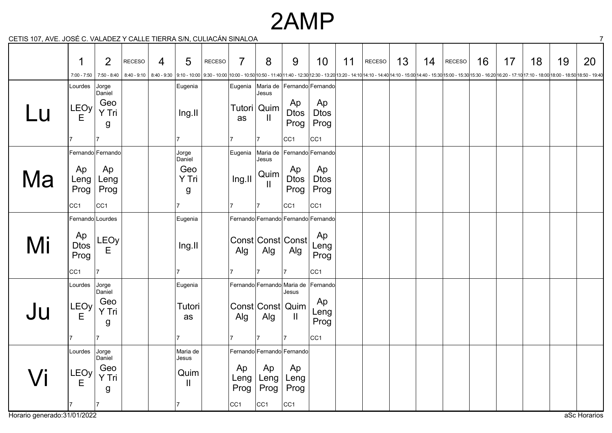### 2AMP

CETIS 107, AVE. JOSÉ C. VALADEZ Y CALLE TIERRA S/N, CULIACÁN SINALOA 7

|    | 1                                            | $\overline{2}$                            | <b>RECESO</b> | 4 | $5\phantom{1}$                            | <b>RECESO</b> | $\overline{7}$                        | 8                                      | 9                                                                   | 10                                    | 11 | <b>RECESO</b>                                                                                                                                                                                                                   | 13 | 14 | <b>RECESO</b> | 16 | 17 | 18 | 19 | 20 |
|----|----------------------------------------------|-------------------------------------------|---------------|---|-------------------------------------------|---------------|---------------------------------------|----------------------------------------|---------------------------------------------------------------------|---------------------------------------|----|---------------------------------------------------------------------------------------------------------------------------------------------------------------------------------------------------------------------------------|----|----|---------------|----|----|----|----|----|
|    | $7:00 - 7:50$                                | $7:50 - 8:40$                             |               |   |                                           |               |                                       |                                        |                                                                     |                                       |    | 8:40 - 9:10   8:40 - 9:10   9:10 - 10:00   9:30 - 10:00   9:30 - 10:00   10:00 - 10:50   10:50 - 11:40 11:40 - 12:30   12:30 - 13:20 13:20 - 14:10 14:10 - 14:10   4:10 - 15:00   14:00 - 15:30   15:00 - 16:20   15:30 - 16:20 |    |    |               |    |    |    |    |    |
|    | Lourdes                                      | Jorge                                     |               |   | Eugenia                                   |               | Eugenia                               |                                        | Maria de Fernando Fernando                                          |                                       |    |                                                                                                                                                                                                                                 |    |    |               |    |    |    |    |    |
| Lu | LEOy<br>Е                                    | Daniel<br>Geo<br>Y Tri<br>g               |               |   | Ing.II                                    |               | as                                    | Jesus<br>Tutori   Quim<br>$\mathbf{H}$ | Ap<br>Dtos<br>Prog                                                  | Ap<br><b>Dtos</b><br>Prog             |    |                                                                                                                                                                                                                                 |    |    |               |    |    |    |    |    |
|    |                                              |                                           |               |   |                                           |               |                                       | $\overline{7}$                         | CC <sub>1</sub>                                                     | CC <sub>1</sub>                       |    |                                                                                                                                                                                                                                 |    |    |               |    |    |    |    |    |
|    |                                              | Fernando Fernando                         |               |   | Jorge<br>Daniel                           |               | Eugenia                               | Maria de<br>Jesus                      |                                                                     | Fernando Fernando                     |    |                                                                                                                                                                                                                                 |    |    |               |    |    |    |    |    |
| la | Ap<br>Leng<br>Prog                           | Ap<br>Leng<br>Prog                        |               |   | Geo<br>Y Tri<br>g                         |               | Ing.II                                | Quim<br>Ш                              | Ap<br><b>Dtos</b><br>Prog                                           | Ap<br><b>Dtos</b><br>Prog             |    |                                                                                                                                                                                                                                 |    |    |               |    |    |    |    |    |
|    | CC <sub>1</sub>                              | CC <sub>1</sub>                           |               |   |                                           |               | 17                                    | $\overline{7}$                         | CC <sub>1</sub>                                                     | CC <sub>1</sub>                       |    |                                                                                                                                                                                                                                 |    |    |               |    |    |    |    |    |
|    | Fernando Lourdes                             |                                           |               |   | Eugenia                                   |               |                                       |                                        | Fernando Fernando Fernando Fernando                                 |                                       |    |                                                                                                                                                                                                                                 |    |    |               |    |    |    |    |    |
| Mi | Ap<br><b>Dtos</b><br>Prog<br>CC <sub>1</sub> | <b>LEOy</b><br>E<br>17                    |               |   | Ing.II                                    |               | Alg                                   | Alg                                    | Const Const Const<br>Alg                                            | Ap<br>Leng<br>Prog<br>CC <sub>1</sub> |    |                                                                                                                                                                                                                                 |    |    |               |    |    |    |    |    |
|    |                                              |                                           |               |   |                                           |               |                                       |                                        | Fernando Fernando Maria de Fernando                                 |                                       |    |                                                                                                                                                                                                                                 |    |    |               |    |    |    |    |    |
| Ju | Lourdes<br>LEOy<br>Е                         | Jorge<br>Daniel<br>Geo<br>Y Tri<br>g<br>7 |               |   | Eugenia<br>Tutori<br>as<br>$\overline{7}$ |               | Alg                                   | Alg                                    | Jesus<br>Const Const Quim<br>Ш<br>17                                | Ap<br>Leng<br>Prog                    |    |                                                                                                                                                                                                                                 |    |    |               |    |    |    |    |    |
|    |                                              |                                           |               |   |                                           |               |                                       | $\overline{7}$                         |                                                                     | CC <sub>1</sub>                       |    |                                                                                                                                                                                                                                 |    |    |               |    |    |    |    |    |
|    | Lourdes<br>LEOy<br>Е                         | Jorge<br>Daniel<br>Geo<br>Y Tri<br>g      |               |   | Maria de<br>Jesus<br>Quim<br>$\mathbf{H}$ |               | Ap<br>Leng<br>Prog<br>CC <sub>1</sub> | Ap<br>Leng<br>Prog<br>CC <sub>1</sub>  | Fernando Fernando Fernando<br>Ap<br>Leng<br>Prog<br>CC <sub>1</sub> |                                       |    |                                                                                                                                                                                                                                 |    |    |               |    |    |    |    |    |
|    |                                              |                                           |               |   |                                           |               |                                       |                                        |                                                                     |                                       |    |                                                                                                                                                                                                                                 |    |    |               |    |    |    |    |    |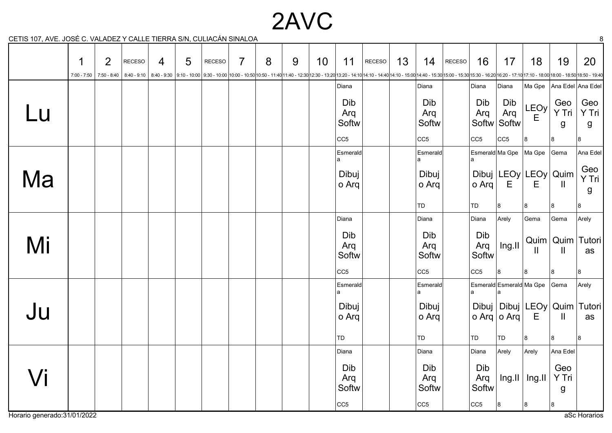2AVC

CETIS 107, AVE. JOSÉ C. VALADEZ Y CALLE TIERRA S/N, CULIACÁN SINALOA 8

|        | 1 | $\overline{2}$ | <b>RECESO</b> | $\overline{4}$ | 5 | RECESO | $\overline{7}$ | 8 | 9 | 10 | 11                                                                                                                                                                                                                             | RECESO | 13 | 14                  | RECESO | 16                  | 17                        | 18                              | 19                          | 20                           |
|--------|---|----------------|---------------|----------------|---|--------|----------------|---|---|----|--------------------------------------------------------------------------------------------------------------------------------------------------------------------------------------------------------------------------------|--------|----|---------------------|--------|---------------------|---------------------------|---------------------------------|-----------------------------|------------------------------|
|        |   |                |               |                |   |        |                |   |   |    | 7:00-7:50 16:30-16:20 - 17:10 17:10 - 8:40 - 9:10 16:40 - 9:30 9:10 - 10:00 9:30 - 10:00 10:30 - 10:00 10:50 - 11:40 11:40 - 12:30 12:30 - 13:20 13:20 - 14:10 14:10 - 14:10 14:10 - 15:00 14:40 - 15:30 15:00 - 16:30 16:30 - |        |    |                     |        |                     |                           |                                 |                             |                              |
|        |   |                |               |                |   |        |                |   |   |    | Diana                                                                                                                                                                                                                          |        |    | Diana               |        | Diana               | Diana                     | Ma Gpe                          |                             | Ana Edel Ana Edel            |
| Lu     |   |                |               |                |   |        |                |   |   |    | Dib<br>Arq<br>Softw                                                                                                                                                                                                            |        |    | Dib<br>Arq<br>Softw |        | Dib<br>Arq          | Dib<br>Arq<br>Softw Softw | LEOy<br>E                       | Geo<br>Y Tri<br>g           | Geo<br>Y Tri<br>g            |
|        |   |                |               |                |   |        |                |   |   |    | CC <sub>5</sub>                                                                                                                                                                                                                |        |    | CC5                 |        | cc5                 | CC5                       | 8                               | 8                           | 8                            |
|        |   |                |               |                |   |        |                |   |   |    | Esmerald<br>a                                                                                                                                                                                                                  |        |    | <b>Esmerald</b>     |        |                     | Esmerald Ma Gpe           | Ma Gpe                          | Gema                        | Ana Edel                     |
| Ma     |   |                |               |                |   |        |                |   |   |    | Dibuj<br>o Arq                                                                                                                                                                                                                 |        |    | Dibuj<br>o Arq      |        | o Arq               | E                         | Dibuj   LEOy   LEOy   Quim<br>Е | $\mathbf{H}$                | Geo<br>Y Tri<br>g            |
|        |   |                |               |                |   |        |                |   |   |    |                                                                                                                                                                                                                                |        |    | TD                  |        | TD                  | 8                         | 8                               | 8                           | 8                            |
|        |   |                |               |                |   |        |                |   |   |    | Diana                                                                                                                                                                                                                          |        |    | Diana               |        | Diana               | Arely                     | Gema                            | Gema                        | Arely                        |
| Mi     |   |                |               |                |   |        |                |   |   |    | Dib<br>Arq<br>Softw                                                                                                                                                                                                            |        |    | Dib<br>Arq<br>Softw |        | Dib<br>Arq<br>Softw | Ing.II                    | $\mathbf{I}$                    | $\mathbf{II}$               | Quim   Quim   Tutori  <br>as |
|        |   |                |               |                |   |        |                |   |   |    | CC <sub>5</sub>                                                                                                                                                                                                                |        |    | CC5                 |        | cc5                 | 8                         | 8                               | 8                           | 8                            |
|        |   |                |               |                |   |        |                |   |   |    | Esmerald                                                                                                                                                                                                                       |        |    | Esmerald            |        |                     |                           | Esmerald Esmerald Ma Gpe Gema   |                             | Arely                        |
| Ju     |   |                |               |                |   |        |                |   |   |    | Dibuj<br>o Arq                                                                                                                                                                                                                 |        |    | Dibuj<br>o Arq      |        |                     | o Arq o Arq $ $           | Dibuj   Dibuj   LEOy<br>E       | $\mathbf{I}$                | Quim   Tutori  <br>as        |
|        |   |                |               |                |   |        |                |   |   |    | TD                                                                                                                                                                                                                             |        |    | TD                  |        | TD                  | TD                        | 8                               | 8                           | 8                            |
|        |   |                |               |                |   |        |                |   |   |    | Diana                                                                                                                                                                                                                          |        |    | Diana               |        | Diana               | Arely                     | Arely                           | Ana Edel                    |                              |
| $\int$ |   |                |               |                |   |        |                |   |   |    | Dib<br>Arq<br>Softw                                                                                                                                                                                                            |        |    | Dib<br>Arq<br>Softw |        | Dib<br>Arq<br>Softw | $\ln g$ .II               | $\vert$ lng.ll                  | Geo<br>Y Tri<br>$\mathsf g$ |                              |
|        |   |                |               |                |   |        |                |   |   |    | CC <sub>5</sub>                                                                                                                                                                                                                |        |    | CC5                 |        | CC5                 | 8                         | 8                               | 8                           |                              |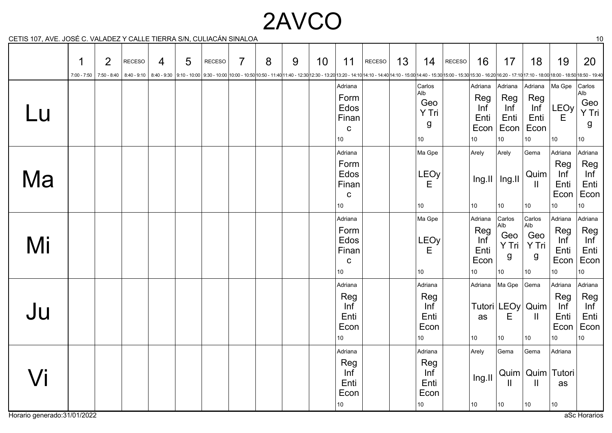# 2AVCO

CETIS 107, AVE. JOSÉ C. VALADEZ Y CALLE TIERRA S/N, CULIACÁN SINALOA 10

|        | 1<br>$7:00 - 7:50$ | $\overline{2}$<br>7:50 - 8:40 | RECESO | 4 | 5 | <b>RECESO</b><br>8:40 - 9:10   8:40 - 9:30   9:10 - 10:00   9:30 - 10:00   0:30 - 10:00   10:00 - 10:50   10:50 - 11:40 11:40 - 12:30   12:30 - 13:20   13:20 - 14:10   14:10 - 14:10   14:10 - 15:00   14:10 - 15:00   16:00 - 16:50   16:30 - | $\overline{7}$ | 8 | 9 | 10 | 11                                                                 | RECESO | 13 | 14                                                       | RECESO | 16                                          | 17                                                       | 18                                                          | 19                                                       | 20                                                       |
|--------|--------------------|-------------------------------|--------|---|---|-------------------------------------------------------------------------------------------------------------------------------------------------------------------------------------------------------------------------------------------------|----------------|---|---|----|--------------------------------------------------------------------|--------|----|----------------------------------------------------------|--------|---------------------------------------------|----------------------------------------------------------|-------------------------------------------------------------|----------------------------------------------------------|----------------------------------------------------------|
| Lu     |                    |                               |        |   |   |                                                                                                                                                                                                                                                 |                |   |   |    | Adriana<br>Form<br>Edos<br>Finan<br>$\mathbf C$<br>10 <sup>°</sup> |        |    | Carlos<br>Alb<br>Geo<br>Y Tri<br>g<br>10                 |        | Adriana<br>Reg<br>Inf<br>Enti<br>Econ<br>10 | Adriana<br>Reg<br>Inf<br>Enti<br>Econ<br>10 <sup>°</sup> | Adriana<br>Reg<br>Inf<br>Enti<br>Econ<br>10                 | Ma Gpe<br>LEOy<br>E<br>10                                | Carlos<br>Alb<br>Geo<br>Y Tri<br>g<br>10                 |
| Ma     |                    |                               |        |   |   |                                                                                                                                                                                                                                                 |                |   |   |    | Adriana<br>Form<br>Edos<br>Finan<br>$\mathbf C$<br>10              |        |    | Ma Gpe<br>LEOy<br>E<br>10 <sup>°</sup>                   |        | Arely<br>10                                 | Arely<br>$Ing.II$   Ing.II<br>10                         | Gema<br>Quim<br>$\mathbf{I}$<br>10                          | Adriana<br>Reg<br>Inf<br>Enti<br>Econ<br>10 <sup>1</sup> | Adriana<br>Reg<br>Inf<br>Enti<br>Econ<br>10              |
| Mi     |                    |                               |        |   |   |                                                                                                                                                                                                                                                 |                |   |   |    | Adriana<br>Form<br>Edos<br>Finan<br>$\mathbf C$<br>10 <sup>°</sup> |        |    | Ma Gpe<br>LEOy<br>E<br>10                                |        | Adriana<br>Reg<br>Inf<br>Enti<br>Econ<br>10 | Carlos<br>Alb<br>Geo<br>Y Tri<br>g<br>$10\,$             | Carlos<br>Alb<br>Geo<br>Y Tri<br>g<br>10 <sup>1</sup>       | Adriana<br>Reg<br>Inf<br>Enti<br>Econ<br>10 <sub>1</sub> | Adriana<br>Reg<br>Inf<br>Enti<br>Econ<br>10 <sup>°</sup> |
| Ju     |                    |                               |        |   |   |                                                                                                                                                                                                                                                 |                |   |   |    | Adriana<br>Reg<br>Inf<br>Enti<br>Econ<br>10 <sup>°</sup>           |        |    | Adriana<br>Reg<br>Inf<br>Enti<br>Econ<br>10              |        | Adriana<br>as<br>10                         | Ma Gpe<br>Е<br>10                                        | Gema<br>Tutori LEOy Quim<br>$\mathbf{H}$<br>10 <sub>1</sub> | Adriana<br>Reg<br>Inf<br>Enti<br>Econ<br>10              | Adriana<br>Reg<br>Inf<br>Enti<br>Econ<br>10 <sup>1</sup> |
| $\int$ |                    |                               |        |   |   |                                                                                                                                                                                                                                                 |                |   |   |    | Adriana<br>Reg<br>Inf<br>Enti<br>Econ<br>10 <sub>1</sub>           |        |    | Adriana<br>Reg<br>Inf<br>Enti<br>Econ<br>10 <sup>°</sup> |        | Arely<br>Ing.II<br>$ 10\rangle$             | Gema<br>Quim<br>Ш<br>10                                  | Gema<br>Quim<br>$\mathbf{  }$<br>10 <sup>°</sup>            | Adriana<br>Tutori<br>as<br>10                            |                                                          |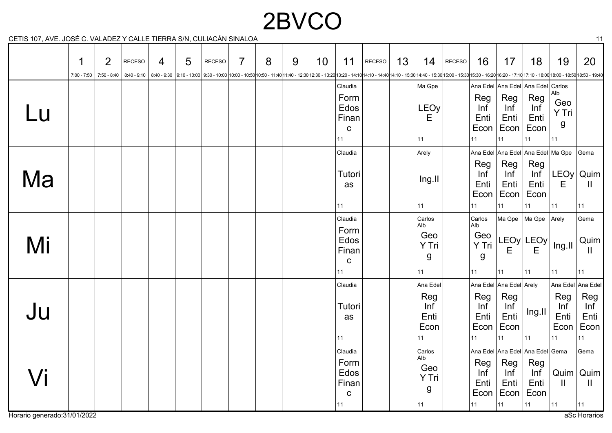# 2BVCO

CETIS 107, AVE. JOSÉ C. VALADEZ Y CALLE TIERRA S/N, CULIACÁN SINALOA 11

|                   | 1<br>7:00 - 7:50 | $\overline{2}$<br>7:50 - 8:40 | <b>RECESO</b><br>8:40 - 9:10 | 4 | 5 | <b>RECESO</b> | $\overline{7}$ | 8 | 9 | 10 | 11                                                    | RECESO | 13 | 14                                           | RECESO | 16                                                 | 17                                                          | 18                                                                        | 19                                       | 20<br>8:40-9:30 16:20 16:20 - 17:10 17:10 - 17:10 17:10 - 18:50 18:00 - 18:50 18:50 - 19:40 1:40 1:40 - 11:40 11:40 - 12:30 12:30 - 13:20 13:20 - 14:10 14:10 - 14:40 14:10 - 15:00 14:40 - 15:30 15:00 - 16:30 15:30 - 16:20 16:20 - |
|-------------------|------------------|-------------------------------|------------------------------|---|---|---------------|----------------|---|---|----|-------------------------------------------------------|--------|----|----------------------------------------------|--------|----------------------------------------------------|-------------------------------------------------------------|---------------------------------------------------------------------------|------------------------------------------|---------------------------------------------------------------------------------------------------------------------------------------------------------------------------------------------------------------------------------------|
| Lu                |                  |                               |                              |   |   |               |                |   |   |    | Claudia<br>Form<br>Edos<br>Finan<br>$\mathbf C$<br>11 |        |    | Ma Gpe<br><b>LEOy</b><br>E<br>11             |        | Reg<br>Inf<br>Enti<br>Econ<br>11                   | Reg<br>Inf<br>Enti<br>Econ<br>11                            | Ana Edel Ana Edel Ana Edel<br>Reg<br>Inf<br>Enti<br>Econ<br>11            | Carlos<br>Alb<br>Geo<br>Y Tri<br>g<br>11 |                                                                                                                                                                                                                                       |
| Ma                |                  |                               |                              |   |   |               |                |   |   |    | Claudia<br>Tutori<br>as<br>11                         |        |    | Arely<br>Ing.II<br>$ 11\rangle$              |        | Reg<br>Inf<br>Enti<br>Econ<br>11                   | Reg<br>Inf<br>Enti<br>11                                    | Ana Edel Ana Edel Ana Edel Ma Gpe<br>Reg<br>Enti<br>Econ  Econ<br>11      | E<br>11                                  | Gema<br>$Inf$ $LEOy   Quim$<br>$\mathbf{H}$<br>11                                                                                                                                                                                     |
| Mi                |                  |                               |                              |   |   |               |                |   |   |    | Claudia<br>Form<br>Edos<br>Finan<br>$\mathbf C$<br>11 |        |    | Carlos<br>Alb<br>Geo<br>Y Tri<br>g<br>11     |        | Carlos<br>Alb<br>Geo<br>Y Tri<br>$\mathsf g$<br>11 | Ma Gpe<br>Е<br>11                                           | Ma Gpe<br>LEOy LEOy <br>E<br>11                                           | Arely<br>Ing.II<br>11                    | Gema<br>Quim<br>Ш<br>11                                                                                                                                                                                                               |
| Ju                |                  |                               |                              |   |   |               |                |   |   |    | Claudia<br>Tutori<br>as<br>11                         |        |    | Ana Edel<br>Reg<br>Inf<br>Enti<br>Econ<br>11 |        | Reg<br>Inf<br>Enti<br>Econ<br>11                   | Ana Edel Ana Edel Arely<br>Reg<br>Inf<br>Enti<br>Econ<br>11 | Ing.II<br>11                                                              | Reg<br>Inf<br>Enti<br>Econ<br>11         | Ana Edel Ana Edel<br>Reg<br>Inf<br>Enti<br>Econ<br>11                                                                                                                                                                                 |
| $\sqrt{\text{i}}$ |                  |                               |                              |   |   |               |                |   |   |    | Claudia<br>Form<br>Edos<br>Finan<br>$\mathbf C$<br>11 |        |    | Carlos<br>Alb<br>Geo<br>Y Tri<br>g<br>11     |        | Reg<br>Inf<br>Enti<br>Econ<br>$ 11\rangle$         | Reg<br>Inf<br>Enti<br> 11                                   | Ana Edel Ana Edel Ana Edel Gema<br>Reg<br>Inf<br>Enti<br>Econ  Econ<br>11 | Quim<br>$\mathbf{H}$<br> 11              | Gema<br>  Quim  <br>$\mathbf{I}$<br> 11                                                                                                                                                                                               |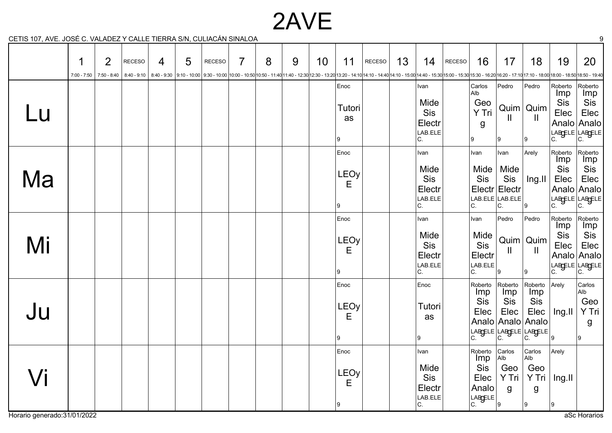## 2AVE

CETIS 107, AVE. JOSÉ C. VALADEZ Y CALLE TIERRA S/N, CULIACÁN SINALOA 9

|    | 1<br>$7:00 - 7:50$ | $\overline{2}$<br>$7:50 - 8:40$ | <b>RECESO</b> | 4 | 5 | <b>RECESO</b><br>8:40 - 9:10   8:40 - 9:30   9:10 - 10:00   9:30 - 10:00   9:30 - 10:00   10:00 - 10:50   10:50 - 11:40 11:40 - 12:30   12:30 - 13:20 13:20 - 14:10   14:10 - 14:40   14:10 - 15:30   16:50 - 15:30   15:00 - 16:20   16:50 - 16 | 7 | 8 | 9 | 10 | 11                            | RECESO | 13 | 14                                             | RECESO | 16                                                                                                              | 17                                                             | 18                                                  | 19                                         | 20                                                                                                                                                                    |
|----|--------------------|---------------------------------|---------------|---|---|--------------------------------------------------------------------------------------------------------------------------------------------------------------------------------------------------------------------------------------------------|---|---|---|----|-------------------------------|--------|----|------------------------------------------------|--------|-----------------------------------------------------------------------------------------------------------------|----------------------------------------------------------------|-----------------------------------------------------|--------------------------------------------|-----------------------------------------------------------------------------------------------------------------------------------------------------------------------|
| Lu |                    |                                 |               |   |   |                                                                                                                                                                                                                                                  |   |   |   |    | Enoc<br>Tutori<br>as<br>9     |        |    | Ivan<br>Mide<br>Sis<br>Electr<br>LAB.ELE<br>C. |        | Carlos<br>Alb<br>Geo<br>Y Tri<br>g<br>Ι9                                                                        | Pedro<br>Ш<br>9                                                | Pedro<br>$Quim$ Quim<br>$\mathbf{\mathsf{I}}$<br>9١ | Roberto<br>Imp<br>Sis<br>Elec<br>Analo     | Roberto<br><b>Imp</b><br>Sis<br>Elec<br>Analo<br>LABGELE LABGELE<br>C.                                                                                                |
| Ma |                    |                                 |               |   |   |                                                                                                                                                                                                                                                  |   |   |   |    | Enoc<br>LEOy<br>Е<br>9        |        |    | Ivan<br>Mide<br>Sis<br>Electr<br>LAB.ELE<br>C. |        | Ivan<br>Mide<br>Sis<br>C.                                                                                       | Ivan<br>Mide<br>Sis<br>Electr Electr<br>LAB.ELE LAB.ELE<br>IC. | Arely<br>Ing.II<br>9                                | Roberto<br><b>Imp</b><br>Sis<br>Elec<br>C. | Roberto<br><b>Imp</b><br>Sis<br>Elec<br>Analo Analo<br>$\begin{array}{ c c c }\n\hline\n\text{L} \text{AB} \text{GELE} & \text{L} \text{AB} \text{GELE}\n\end{array}$ |
| Mi |                    |                                 |               |   |   |                                                                                                                                                                                                                                                  |   |   |   |    | Enoc<br><b>LEOy</b><br>Е<br>9 |        |    | Ivan<br>Mide<br>Sis<br>Electr<br>LAB.ELE<br>C. |        | Ivan<br>Mide<br>Sis<br>Electr<br>LAB.ELE<br>C.                                                                  | Pedro<br>Ш<br>9                                                | Pedro<br>$Quim$ Quim<br>$\mathbf{\mathsf{I}}$<br>Ι9 | Roberto<br><b>Imp</b><br>Sis<br>Elec       | Roberto<br>Imp<br>Sis<br>Elec<br>Analo Analo<br>LABGELE LABGELE<br> C.                                                                                                |
| Ju |                    |                                 |               |   |   |                                                                                                                                                                                                                                                  |   |   |   |    | Enoc<br>LEOy<br>Е<br>9        |        |    | Enoc<br>Tutori<br>as<br>Ι9                     |        | Roberto<br>Imp<br>Sis<br>Elec                                                                                   | Roberto<br>Imp<br>Sis<br>Elec                                  | Roberto<br>Imp<br>Sis<br>Elec<br>Analo Analo Analo  | Arely<br>Ing.II<br>9                       | Carlos<br>Alb<br>Geo<br>Y Tri<br>g<br>l9.                                                                                                                             |
| Vi |                    |                                 |               |   |   |                                                                                                                                                                                                                                                  |   |   |   |    | Enoc<br><b>LEOy</b><br>E<br>9 |        |    | Ivan<br>Mide<br>Sis<br>Electr<br>LAB.ELE<br>C. |        | Roberto<br>Imp<br>Sis<br>Elec<br>Analo<br>$\left  \begin{matrix} \text{LARGE} \\ \text{C} \end{matrix} \right $ | Carlos<br>Alb<br>Geo<br>Y Tri<br>$\mathsf{g}$<br>ີ  ໑          | Carlos<br>Alb<br>Geo<br>Y Tri<br>$\mathsf g$<br> 9  | Arely<br>Ing.II<br>9                       |                                                                                                                                                                       |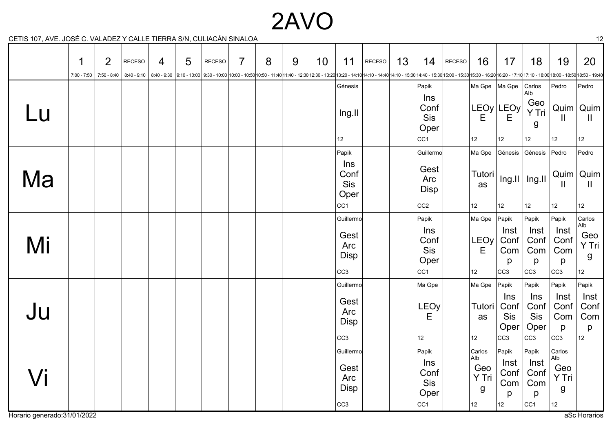## 2AVO

CETIS 107, AVE. JOSÉ C. VALADEZ Y CALLE TIERRA S/N, CULIACÁN SINALOA 12

|                   | 1<br>7:00 - 7:50 | $\overline{2}$<br>7:50 - 8:40 | RECESO | 4 | 5 | <b>RECESO</b> | $\overline{7}$ | 8 | 9 | 10 | 11                                                                        | RECESO | 13 | 14                                                                            | RECESO | 16                                       | 17                                          | 18                                                                    | 19                                                   | 20<br>8:40 - 9:10   8:40 - 9:10   9:10 - 10:00   9:30 - 10:00   9:30 - 10:00   10:00 - 10:00   10:00 - 10:00   10:00 - 11:40 11:40 - 12:30   12:30 - 13:20   13:20 - 14:10   14:10 - 14:40   14:10 - 15:00   14:10 - 15:30   15:00 - |
|-------------------|------------------|-------------------------------|--------|---|---|---------------|----------------|---|---|----|---------------------------------------------------------------------------|--------|----|-------------------------------------------------------------------------------|--------|------------------------------------------|---------------------------------------------|-----------------------------------------------------------------------|------------------------------------------------------|--------------------------------------------------------------------------------------------------------------------------------------------------------------------------------------------------------------------------------------|
| Lu                |                  |                               |        |   |   |               |                |   |   |    | Génesis<br>Ing.II                                                         |        |    | Papik<br>Ins<br>Conf<br>Sis<br>Oper                                           |        | │Ma Gpe │Ma Gpe<br>Е                     | LEOy LEOy<br>Е                              | Carlos<br>Alb<br>Geo<br>Y Tri<br>g                                    | Pedro<br>Quim<br>Ш                                   | Pedro<br>Quim<br>$\mathbf{I}$                                                                                                                                                                                                        |
| Ma                |                  |                               |        |   |   |               |                |   |   |    | 12 <sup>°</sup><br>Papik<br>Ins<br>Conf<br>Sis<br>Oper<br>CC <sub>1</sub> |        |    | CC <sub>1</sub><br>Guillermo<br>Gest<br>Arc<br><b>Disp</b><br>CC <sub>2</sub> |        | 12<br>Ma Gpe<br>Tutori<br>as<br>12       | 12<br>Génesis<br>12                         | 12 <sup>°</sup><br>Génesis<br>$\ln g$ .II   Ing.II<br>12 <sup>°</sup> | 12 <sup>°</sup><br>Pedro<br>Quim<br>Ш<br>$12 \,$     | 12<br>Pedro<br>Quim<br>$\mathbf{I}$<br>12                                                                                                                                                                                            |
| Mi                |                  |                               |        |   |   |               |                |   |   |    | Guillermo<br>Gest<br>Arc<br><b>Disp</b><br>CC <sub>3</sub>                |        |    | Papik<br>Ins<br>Conf<br>Sis<br>Oper<br>CC <sub>1</sub>                        |        | Ma Gpe<br>LEOy<br>Е<br>12                | Papik<br>Inst<br>Conf<br>Com<br>p<br> cc3   | Papik<br>Inst<br>Conf<br>Com<br>p<br> cc3                             | Papik<br>Inst<br>Conf<br>Com<br>p<br> cc3            | Carlos<br>Alb<br>Geo<br>Y Tri<br>g<br>12 <sup>°</sup>                                                                                                                                                                                |
| Ju                |                  |                               |        |   |   |               |                |   |   |    | Guillermo<br>Gest<br>Arc<br><b>Disp</b><br>CC <sub>3</sub>                |        |    | Ma Gpe<br><b>LEOy</b><br>Е<br>$12 \overline{ }$                               |        | Ma Gpe<br>Tutori<br>as<br>12             | Papik<br>Ins<br>Conf<br>Sis<br>Oper<br> cc3 | Papik<br>Ins<br>Conf<br><b>Sis</b><br>Oper<br>CC <sub>3</sub>         | Papik<br>Inst<br>Conf<br>Com<br>p<br>CC <sub>3</sub> | Papik<br>Inst<br>Conf<br>Com<br>p<br>12 <sup>°</sup>                                                                                                                                                                                 |
| $\sqrt{\text{i}}$ |                  |                               |        |   |   |               |                |   |   |    | Guillermo<br>Gest<br>Arc<br><b>Disp</b><br>CC <sub>3</sub>                |        |    | Papik<br>Ins<br>Conf<br>Sis<br>Oper<br>CC <sub>1</sub>                        |        | Carlos<br>Alb<br>Geo<br>Y Tri<br>g<br>12 | Papik<br>Inst<br>Conf<br>Com<br>p<br>12     | Papik<br>Inst<br>Conf<br>Com<br>p<br>CC <sub>1</sub>                  | Carlos<br>Alb<br>Geo<br>Y Tri<br>g<br>12             |                                                                                                                                                                                                                                      |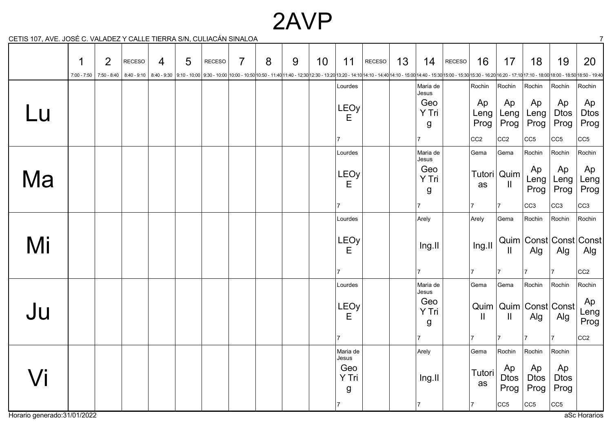### 2AVP

CETIS 107, AVE. JOSÉ C. VALADEZ Y CALLE TIERRA S/N, CULIACÁN SINALOA 7

|    | 1<br>$7:00 - 7:50$ | $\overline{2}$<br>7:50 - 8:40 | <b>RECESO</b> | 4 | 5 | RECESO | $\overline{7}$ | 8<br>8:40 - 9:10   8:40 - 9:30   9:10 - 10:00   9:30 - 10:00   9:30 - 10:00   10:00 - 10:50   10:50 - 11:40   11:40 - 12:30   12:30 - 13:20 13:20 - 14:10   14:10 - 14:40   14:10 - 15:30   16:00 - 15:30   15:00 - 16:20   16:50 - | 9 | 10 | 11                                          | RECESO | 13 | 14                         | RECESO | 16                   | 17                                          | 18                                          | 19                                                     | 20                            |
|----|--------------------|-------------------------------|---------------|---|---|--------|----------------|-------------------------------------------------------------------------------------------------------------------------------------------------------------------------------------------------------------------------------------|---|----|---------------------------------------------|--------|----|----------------------------|--------|----------------------|---------------------------------------------|---------------------------------------------|--------------------------------------------------------|-------------------------------|
|    |                    |                               |               |   |   |        |                |                                                                                                                                                                                                                                     |   |    | Lourdes                                     |        |    | Maria de                   |        | Rochin               | Rochin                                      | Rochin                                      | Rochin                                                 | Rochin                        |
| Lu |                    |                               |               |   |   |        |                |                                                                                                                                                                                                                                     |   |    | <b>LEOy</b><br>E                            |        |    | Jesus<br>Geo<br>Y Tri<br>g |        | Ap<br>Leng<br>Prog   | Ap<br>Leng<br>Prog                          | Ap<br>Leng<br>Prog                          | Ap<br><b>Dtos</b><br>Prog                              | Ap<br><b>Dtos</b><br>Prog     |
|    |                    |                               |               |   |   |        |                |                                                                                                                                                                                                                                     |   |    |                                             |        |    |                            |        | CC <sub>2</sub>      | CC <sub>2</sub>                             | CC5                                         | CC5                                                    | CC <sub>5</sub>               |
|    |                    |                               |               |   |   |        |                |                                                                                                                                                                                                                                     |   |    | Lourdes                                     |        |    | Maria de<br>Jesus          |        | Gema                 | Gema                                        | Rochin                                      | Rochin                                                 | Rochin                        |
| Ma |                    |                               |               |   |   |        |                |                                                                                                                                                                                                                                     |   |    | LEOy<br>Е                                   |        |    | Geo<br>Y Tri<br>g          |        | as                   | Tutori Quim<br>$\mathbf{H}$                 | Ap<br>Leng<br>Prog                          | Ap<br>Leng<br>Prog                                     | Ap<br>Leng<br>Prog            |
|    |                    |                               |               |   |   |        |                |                                                                                                                                                                                                                                     |   |    | $\overline{7}$                              |        |    |                            |        | 17                   | 17                                          | CC <sub>3</sub>                             | CC <sub>3</sub>                                        | CC <sub>3</sub>               |
|    |                    |                               |               |   |   |        |                |                                                                                                                                                                                                                                     |   |    | Lourdes                                     |        |    | Arely                      |        | Arely                | Gema                                        | Rochin                                      | Rochin                                                 | Rochin                        |
| Mi |                    |                               |               |   |   |        |                |                                                                                                                                                                                                                                     |   |    | <b>LEOy</b><br>E                            |        |    | Ing.II                     |        | Ing.II               | Ш                                           | Alg                                         | Alg                                                    | Quim Const Const Const<br>Alg |
|    |                    |                               |               |   |   |        |                |                                                                                                                                                                                                                                     |   |    | $\overline{7}$                              |        |    | 7                          |        | 17                   | 7                                           | 7                                           | 17                                                     | CC <sub>2</sub>               |
|    |                    |                               |               |   |   |        |                |                                                                                                                                                                                                                                     |   |    | Lourdes                                     |        |    | Maria de<br>Jesus          |        | Gema                 | Gema                                        | Rochin                                      | Rochin                                                 | Rochin                        |
| Ju |                    |                               |               |   |   |        |                |                                                                                                                                                                                                                                     |   |    | LEOy<br>Е                                   |        |    | Geo<br>Y Tri<br>g          |        | $\mathbf{  }$        | Ш                                           | Quim   Quim   Const   Const<br>Alg          | Alg                                                    | Ap<br>Leng<br>Prog            |
|    |                    |                               |               |   |   |        |                |                                                                                                                                                                                                                                     |   |    | $\overline{7}$                              |        |    | $\overline{7}$             |        | 17                   | 17                                          | $\overline{7}$                              | 17                                                     | CC <sub>2</sub>               |
| Vi |                    |                               |               |   |   |        |                |                                                                                                                                                                                                                                     |   |    | Maria de<br>Jesus<br>Geo<br>Y Tri<br>g<br>7 |        |    | Arely<br>Ing.II<br>17      |        | Gema<br>Tutori<br>as | Rochin<br>Ap<br><b>Dtos</b><br>Prog<br> CC5 | Rochin<br>Ap<br><b>Dtos</b><br>Prog<br> CC5 | Rochin<br>Ap<br><b>Dtos</b><br>Prog<br>CC <sub>5</sub> |                               |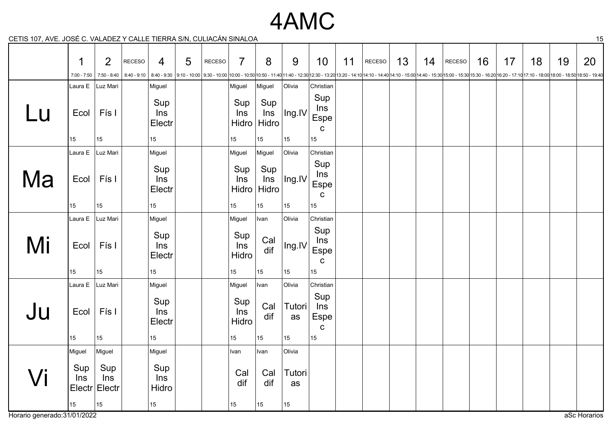### 4AMC

CETIS 107, AVE. JOSÉ C. VALADEZ Y CALLE TIERRA S/N, CULIACÁN SINALOA 15

|    | 1             | 2                                 | <b>RECESO</b> | 4                                                  | 5 | RECESO | $\overline{7}$                                    | 8                                                 | 9                            | 10                                                       | 11 | RECESO                                                                                                                                                                                                                          | 13 | 14 | RECESO | 16 | 17 | 18 | 19 | 20 |
|----|---------------|-----------------------------------|---------------|----------------------------------------------------|---|--------|---------------------------------------------------|---------------------------------------------------|------------------------------|----------------------------------------------------------|----|---------------------------------------------------------------------------------------------------------------------------------------------------------------------------------------------------------------------------------|----|----|--------|----|----|----|----|----|
|    | $7:00 - 7:50$ | 7:50 - 8:40                       | $8:40 - 9:10$ |                                                    |   |        |                                                   |                                                   |                              |                                                          |    | 8:40-9:30  9:10-10:00  9:30-10:00  9:30-10:00  9:30-10:00 -10:00 10:00-11:40  1:40-12:30  12:30 - 13:20  13:20-14:10  14:10-14:40   4:10-15:00   4:40-15:30   15:00-15:30   15:00-16:30 - 16:20   16:20 - 17:10   17:10 - 18:00 |    |    |        |    |    |    |    |    |
| Lu | Ecol<br>15    | Laura E   Luz Mari<br>Fís I<br>15 |               | Miguel<br>Sup<br>Ins<br>Electr<br>15 <sub>15</sub> |   |        | Miguel<br>Sup<br>Ins<br>Hidro<br>15 <sub>15</sub> | Miguel<br>Sup<br>ln s<br>Hidro<br>15 <sub>1</sub> | Olivia<br> Ing.IV <br>$15\,$ | Christian<br>Sup<br>Ins<br>Espe<br>$\mathbf C$<br>$15\,$ |    |                                                                                                                                                                                                                                 |    |    |        |    |    |    |    |    |
|    |               | Laura E Luz Mari                  |               | Miguel                                             |   |        | Miguel                                            | Miguel                                            | Olivia                       | Christian                                                |    |                                                                                                                                                                                                                                 |    |    |        |    |    |    |    |    |
| Ma | Ecol          | Fís I                             |               | Sup<br>Ins<br>Electr                               |   |        | Sup<br>Ins<br>Hidro                               | Sup<br>Ins<br>Hidro                               | $ $ Ing.IV $ $               | Sup<br>Ins<br><b>Espe</b><br>$\mathbf C$                 |    |                                                                                                                                                                                                                                 |    |    |        |    |    |    |    |    |
|    | 15            | 15                                |               | 15 <sub>15</sub>                                   |   |        | 15                                                | 15 <sub>15</sub>                                  | 15 <sub>15</sub>             | 15                                                       |    |                                                                                                                                                                                                                                 |    |    |        |    |    |    |    |    |
|    |               | Laura E   Luz Mari                |               | Miguel                                             |   |        | Miguel                                            | Ivan                                              | Olivia                       | Christian                                                |    |                                                                                                                                                                                                                                 |    |    |        |    |    |    |    |    |
| Mi | Ecol<br>15    | Fís I<br>15                       |               | Sup<br>Ins<br>Electr<br>15 <sup>15</sup>           |   |        | Sup<br>Ins<br>Hidro<br>15 <sub>15</sub>           | Cal<br>dif<br>15 <sub>15</sub>                    | $\ln g$ .IV<br>15            | Sup<br>Ins<br><b>Espe</b><br>$\mathbf c$<br>15           |    |                                                                                                                                                                                                                                 |    |    |        |    |    |    |    |    |
|    |               | Laura E   Luz Mari                |               | Miguel                                             |   |        | Miguel                                            | Ivan                                              | Olivia                       | Christian                                                |    |                                                                                                                                                                                                                                 |    |    |        |    |    |    |    |    |
| Ju | Ecol<br>15    | Fís I<br>15                       |               | Sup<br>Ins<br>Electr<br>15 <sub>15</sub>           |   |        | Sup<br>Ins<br>Hidro<br>15                         | Cal<br>dif<br>15 <sub>15</sub>                    | <b>Tutori</b><br>as<br>15    | Sup<br>Ins<br><b>Espe</b><br>$\mathbf C$<br>15           |    |                                                                                                                                                                                                                                 |    |    |        |    |    |    |    |    |
|    | Miguel        | Miguel                            |               | Miguel                                             |   |        | Ivan                                              | Ivan                                              | Olivia                       |                                                          |    |                                                                                                                                                                                                                                 |    |    |        |    |    |    |    |    |
| Vi | Sup<br>Ins    | Sup<br>Ins<br>Electr Electr<br>15 |               | Sup<br>Ins<br>Hidro<br>15 <sup>15</sup>            |   |        | Cal<br>dif                                        | Cal<br>dif<br>15                                  | Tutori<br>as                 |                                                          |    |                                                                                                                                                                                                                                 |    |    |        |    |    |    |    |    |
|    | 15            |                                   |               |                                                    |   |        | 15 <sub>15</sub>                                  |                                                   | 15                           |                                                          |    |                                                                                                                                                                                                                                 |    |    |        |    |    |    |    |    |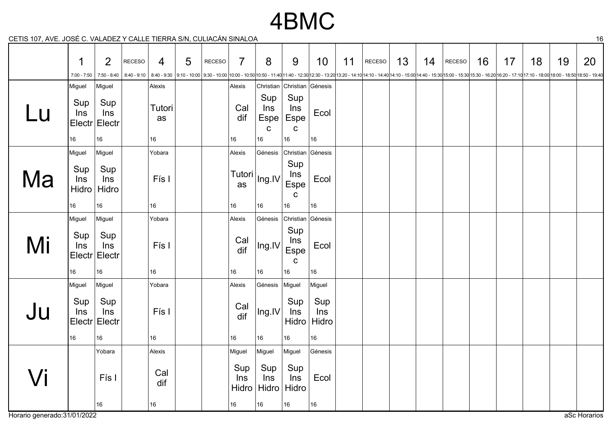### 4BMC

CETIS 107, AVE. JOSÉ C. VALADEZ Y CALLE TIERRA S/N, CULIACÁN SINALOA 16

|                             | 1<br>$7:00 - 7:50$                  | $\overline{2}$<br>$7:50 - 8:40$       | <b>RECESO</b><br>$8:40 - 9:10$ | $\overline{4}$        | 5 | RECESO | $\overline{7}$               | 8                                  | 9                                       | 10 <sup>°</sup>                       | 11 | RECESO<br>8:40 - 9:30 16:20 17:10 17:10 - 17:10 17:10 - 18:00 18:00 - 18:50 18:50 - 19:40 19:30 - 19:40 19:30 - 11:40 11:40 - 12:30 12:30 - 14:10 14:10 - 14:10 14:10 - 14:10 14:10 - 15:00 14:40 - 15:00 15:00 - 16:20 15:30 - 16:20 16: | 13 | 14 | RECESO | 16 | 17 | 18 | 19 | 20           |
|-----------------------------|-------------------------------------|---------------------------------------|--------------------------------|-----------------------|---|--------|------------------------------|------------------------------------|-----------------------------------------|---------------------------------------|----|-------------------------------------------------------------------------------------------------------------------------------------------------------------------------------------------------------------------------------------------|----|----|--------|----|----|----|----|--------------|
|                             | Miguel                              | Miguel                                |                                | Alexis                |   |        | Alexis                       |                                    | Christian Christian Génesis             |                                       |    |                                                                                                                                                                                                                                           |    |    |        |    |    |    |    |              |
| Lu                          | Sup<br>Ins                          | Sup<br>Ins<br>Electr Electr           |                                | Tutori<br>as          |   |        | Cal<br>dif                   | Sup<br>Ins<br>Espe<br>$\mathbf{C}$ | Sup<br>ln s<br>Espe<br>C                | Ecol                                  |    |                                                                                                                                                                                                                                           |    |    |        |    |    |    |    |              |
|                             | 16                                  | 16                                    |                                | 16                    |   |        | 16                           | 16                                 | 16<br>Christian Génesis                 | 16                                    |    |                                                                                                                                                                                                                                           |    |    |        |    |    |    |    |              |
| Ma                          | Miguel<br>Sup<br>Ins<br>Hidro<br>16 | Miguel<br>Sup<br>Ins<br>Hidro<br>16   |                                | Yobara<br>Fís I<br>16 |   |        | Alexis<br>Tutori<br>as<br>16 | Génesis<br>Ing.IV<br>16            | Sup<br>Ins<br>Espe<br>$\mathbf C$<br>16 | Ecol<br>16                            |    |                                                                                                                                                                                                                                           |    |    |        |    |    |    |    |              |
|                             | Miguel                              | Miguel                                |                                | Yobara                |   |        | Alexis                       | Génesis                            | Christian Génesis                       |                                       |    |                                                                                                                                                                                                                                           |    |    |        |    |    |    |    |              |
| Mi                          | Sup<br>Ins                          | Sup<br>Ins<br>Electr Electr           |                                | Fís I                 |   |        | Cal<br>dif                   | Ing.IV                             | Sup<br>Ins<br>Espe<br>$\mathbf C$       | Ecol                                  |    |                                                                                                                                                                                                                                           |    |    |        |    |    |    |    |              |
|                             | 16                                  | 16                                    |                                | 16                    |   |        | 16                           | 16                                 | 16                                      | 16                                    |    |                                                                                                                                                                                                                                           |    |    |        |    |    |    |    |              |
| Ju                          | Miguel<br>Sup<br>Ins                | Miguel<br>Sup<br>Ins<br>Electr Electr |                                | Yobara<br>Fís I       |   |        | Alexis<br>Cal<br>dif         | Génesis<br>Ing.IV                  | Miguel<br>Sup<br>Ins                    | Miguel<br>Sup<br>Ins<br>Hidro   Hidro |    |                                                                                                                                                                                                                                           |    |    |        |    |    |    |    |              |
|                             | 16                                  | 16                                    |                                | 16                    |   |        | 16                           | 16                                 | 16                                      | 16                                    |    |                                                                                                                                                                                                                                           |    |    |        |    |    |    |    |              |
|                             |                                     | Yobara                                |                                | Alexis                |   |        | Miguel                       | Miguel                             | Miguel                                  | Génesis                               |    |                                                                                                                                                                                                                                           |    |    |        |    |    |    |    |              |
| $J$ i                       |                                     | Fís I                                 |                                | Cal<br>dif            |   |        | Sup<br>Ins<br>Hidro          | Sup<br>Ins                         | Sup<br>Ins<br>Hidro   Hidro             | Ecol                                  |    |                                                                                                                                                                                                                                           |    |    |        |    |    |    |    |              |
|                             |                                     | 16                                    |                                | 16                    |   |        | 16                           | 16                                 | 16                                      | 16                                    |    |                                                                                                                                                                                                                                           |    |    |        |    |    |    |    |              |
| Horario generado:31/01/2022 |                                     |                                       |                                |                       |   |        |                              |                                    |                                         |                                       |    |                                                                                                                                                                                                                                           |    |    |        |    |    |    |    | aSc Horarios |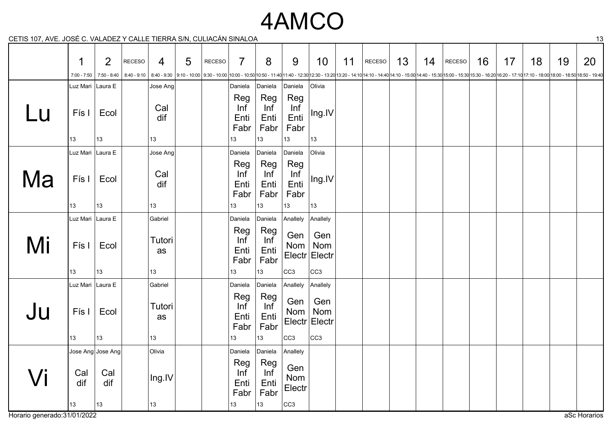## 4AMCO

CETIS 107, AVE. JOSÉ C. VALADEZ Y CALLE TIERRA S/N, CULIACÁN SINALOA 13

|    | 1                 | 2                 | RECESO | $\overline{4}$   | 5 | RECESO | $\overline{7}$                   | 8                                | 9                                | 10                          | 11 | RECESO | 13 | 14 | RECESO | 16 | 17 | 18 | 19                                                                                                                                                                                                                              | 20 |
|----|-------------------|-------------------|--------|------------------|---|--------|----------------------------------|----------------------------------|----------------------------------|-----------------------------|----|--------|----|----|--------|----|----|----|---------------------------------------------------------------------------------------------------------------------------------------------------------------------------------------------------------------------------------|----|
|    | $7:00 - 7:50$     | 7:50 - 8:40       |        |                  |   |        |                                  |                                  |                                  |                             |    |        |    |    |        |    |    |    | 8:40 - 9:10   8:40 - 9:10   8:40 - 9:10   9:10 - 10:00   9:30 - 10:00   10:00 - 10:00   10:50 - 10:00   10:50 - 11:40 11:40 - 12:30   12:30 - 12:30   12:30 - 12:20 14:10 - 12:30   14:10 - 12:00 14:40 - 15:00   14:10 - 15:00 |    |
|    | Luz Mari  Laura E |                   |        | Jose Ang         |   |        | Daniela                          | Daniela                          | Daniela                          | Olivia                      |    |        |    |    |        |    |    |    |                                                                                                                                                                                                                                 |    |
| Lu | Fís I<br>13       | Ecol<br>13        |        | Cal<br>dif<br>13 |   |        | Reg<br>Inf<br>Enti<br>Fabr<br>13 | Reg<br>Inf<br>Enti<br>Fabr<br>13 | Reg<br>Inf<br>Enti<br>Fabr<br>13 | Ing.IV<br>13                |    |        |    |    |        |    |    |    |                                                                                                                                                                                                                                 |    |
|    | Luz Mari Laura E  |                   |        | Jose Ang         |   |        | Daniela                          | Daniela                          | Daniela                          | Olivia                      |    |        |    |    |        |    |    |    |                                                                                                                                                                                                                                 |    |
| Ma | Fís I             | Ecol              |        | Cal<br>dif       |   |        | Reg<br>Inf<br>Enti<br>Fabr       | Reg<br>Inf<br>Enti<br>Fabr       | Reg<br>Inf<br>Enti<br>Fabr       | Ing.IV                      |    |        |    |    |        |    |    |    |                                                                                                                                                                                                                                 |    |
|    | 13                | 13                |        | 13               |   |        | 13                               | 13                               | 13                               | 13                          |    |        |    |    |        |    |    |    |                                                                                                                                                                                                                                 |    |
|    | Luz Mari Laura E  |                   |        | Gabriel          |   |        | Daniela                          | Daniela                          | Anallely                         | Anallely                    |    |        |    |    |        |    |    |    |                                                                                                                                                                                                                                 |    |
| Mi | Fís I             | Ecol              |        | Tutori<br>as     |   |        | Reg<br>Inf<br>Enti<br>Fabr       | Reg<br>Inf<br>Enti<br>Fabr       | Gen<br>Nom $ $                   | Gen<br>Nom<br>Electr Electr |    |        |    |    |        |    |    |    |                                                                                                                                                                                                                                 |    |
|    | 13                | 13                |        | 13               |   |        | 13                               | 13                               | cc3                              | cc3                         |    |        |    |    |        |    |    |    |                                                                                                                                                                                                                                 |    |
|    | Luz Mari Laura E  |                   |        | Gabriel          |   |        | Daniela                          | Daniela                          | Anallely                         | Anallely                    |    |        |    |    |        |    |    |    |                                                                                                                                                                                                                                 |    |
| Ju | Fís I             | Ecol              |        | Tutori<br>as     |   |        | Reg<br>Inf<br>Enti<br>Fabr       | Reg<br>Inf<br>Enti<br>Fabr       | Gen<br>Nom                       | Gen<br>Nom<br>Electr Electr |    |        |    |    |        |    |    |    |                                                                                                                                                                                                                                 |    |
|    | 13                | 13                |        | 13               |   |        | 13                               | 13                               | CC <sub>3</sub>                  | cc3                         |    |        |    |    |        |    |    |    |                                                                                                                                                                                                                                 |    |
|    |                   | Jose Ang Jose Ang |        | Olivia           |   |        | Daniela                          | Daniela                          | Anallely                         |                             |    |        |    |    |        |    |    |    |                                                                                                                                                                                                                                 |    |
| Vi | Cal<br>dif        | Cal<br>dif        |        | Ing.IV           |   |        | Reg<br>Inf<br>Enti<br>Fabr       | Reg<br>Inf<br>Enti<br>Fabr       | Gen<br>Nom<br>Electr             |                             |    |        |    |    |        |    |    |    |                                                                                                                                                                                                                                 |    |
|    | 13                | 13                |        | 13               |   |        | 13                               | 13                               | CC <sub>3</sub>                  |                             |    |        |    |    |        |    |    |    |                                                                                                                                                                                                                                 |    |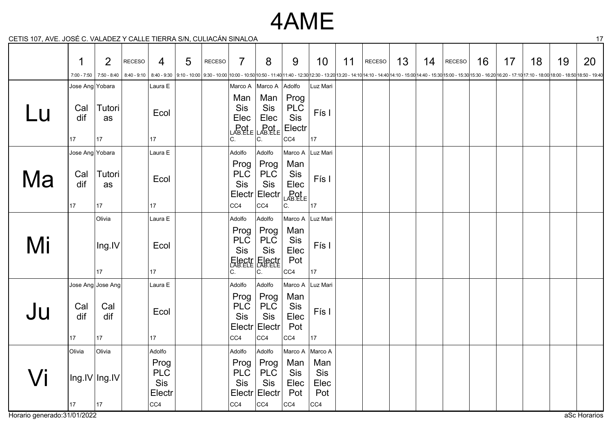## 4AME

CETIS 107, AVE. JOSÉ C. VALADEZ Y CALLE TIERRA S/N, CULIACÁN SINALOA 17

|    | 1                             | $\overline{2}$         | RECESO | $\overline{4}$                      | 5 | RECESO | 7                                                       | 8                                                                                                                                                                                                                              | 9                                           | 10                        | 11 | RECESO | 13 | 14 | RECESO | 16 | 17 | 18 | 19 | 20 |
|----|-------------------------------|------------------------|--------|-------------------------------------|---|--------|---------------------------------------------------------|--------------------------------------------------------------------------------------------------------------------------------------------------------------------------------------------------------------------------------|---------------------------------------------|---------------------------|----|--------|----|----|--------|----|----|----|----|----|
|    | 7:00 - 7:50                   | 7:50 - 8:40            |        |                                     |   |        |                                                         | 8:40 - 9:10 8:40 - 9:10 8:40 - 9:10 8:40 - 9:10 9:10 - 10:00 19:30 - 10:00 10:00 - 10:00 10:00 - 10:50 10:50 - 11:40 11:40 - 12:30 12:30 - 13:20 13:20 - 14:10 14:10 - 14:40 14:10 - 15:00 14:40 - 15:30 15:00 - 15:30 15:30 - |                                             |                           |    |        |    |    |        |    |    |    |    |    |
|    | Jose Ang Yobara               |                        |        | Laura E                             |   |        |                                                         | Marco A   Marco A                                                                                                                                                                                                              | Adolfo                                      | Luz Mari                  |    |        |    |    |        |    |    |    |    |    |
| Lu | Cal<br>dif<br>17              | Tutori<br>as<br>$17\,$ |        | Ecol<br>17                          |   |        | Man<br>Sis<br>Elec<br>C.                                | Man<br>Sis<br>Elec<br>$Pot$ $LAB. ELE$ $LAB. ELE$<br>С.                                                                                                                                                                        | Prog<br><b>PLC</b><br>Sis<br>Electr<br> CC4 | Fís I<br> 17              |    |        |    |    |        |    |    |    |    |    |
|    | Jose Ang Yobara               |                        |        | Laura E                             |   |        | Adolfo                                                  | Adolfo                                                                                                                                                                                                                         | Marco A Luz Mari                            |                           |    |        |    |    |        |    |    |    |    |    |
| Ma | Cal<br>dif<br>17              | Tutori<br>as<br>17     |        | Ecol<br>17                          |   |        | Prog<br><b>PLC</b><br>Sis<br>Electr<br>  <sub>CC4</sub> | Prog<br><b>PLC</b><br>Sis<br>Electr<br>CC4                                                                                                                                                                                     | Man<br>Sis<br>Elec<br>LABRE<br>C.           | Fís I<br> 17              |    |        |    |    |        |    |    |    |    |    |
|    |                               | Olivia                 |        |                                     |   |        | Adolfo                                                  | Adolfo                                                                                                                                                                                                                         | Marco A                                     | Luz Mari                  |    |        |    |    |        |    |    |    |    |    |
| Mi |                               | Ing.IV<br>17           |        | Laura E<br>Ecol<br>17               |   |        | Prog<br><b>PLC</b><br>Sis<br>C.                         | Prog<br><b>PLC</b><br>Sis<br>Electr Electr<br>С.                                                                                                                                                                               | Man<br>Sis<br>Elec<br>Pot<br>CC4            | Fís I<br> 17              |    |        |    |    |        |    |    |    |    |    |
|    |                               | Jose Ang Jose Ang      |        | Laura E                             |   |        | Adolfo                                                  | Adolfo                                                                                                                                                                                                                         | Marco A Luz Mari                            |                           |    |        |    |    |        |    |    |    |    |    |
| Ju | Cal<br>dif<br>17 <sub>1</sub> | Cal<br>dif<br>17       |        | Ecol<br>17                          |   |        | Prog<br><b>PLC</b><br>Sis<br> CC4                       | Prog<br><b>PLC</b><br>Sis<br>Electr Electr<br>CC4                                                                                                                                                                              | Man<br>Sis<br>Elec<br>Pot<br>CC4            | Fís I<br> 17              |    |        |    |    |        |    |    |    |    |    |
|    | <b>Olivia</b>                 | Olivia                 |        | Adolfo                              |   |        | Adolfo                                                  | Adolfo                                                                                                                                                                                                                         | Marco A   Marco A                           |                           |    |        |    |    |        |    |    |    |    |    |
| Vi | Ing.IV Ing.IV                 |                        |        | Prog<br><b>PLC</b><br>Sis<br>Electr |   |        | Prog<br><b>PLC</b><br>Sis                               | Prog<br><b>PLC</b><br>Sis<br>Electr Electr                                                                                                                                                                                     | Man<br>Sis<br>Elec<br>Pot                   | Man<br>Sis<br>Elec<br>Pot |    |        |    |    |        |    |    |    |    |    |
|    | 17                            | $17\,$                 |        | CC4                                 |   |        | CC4                                                     | CC4                                                                                                                                                                                                                            | CC4                                         | CC4                       |    |        |    |    |        |    |    |    |    |    |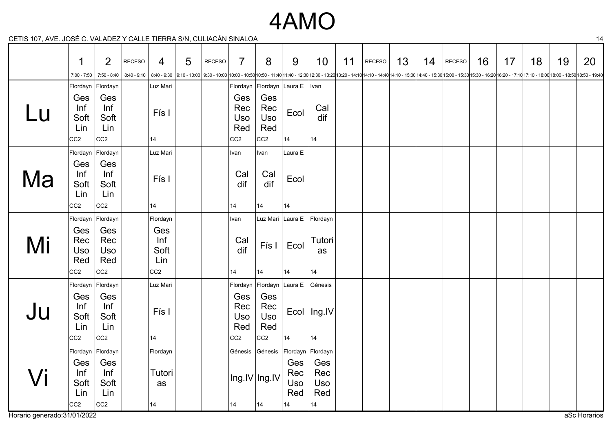## 4AMO

CETIS 107, AVE. JOSÉ C. VALADEZ Y CALLE TIERRA S/N, CULIACÁN SINALOA 14

|    | 1                                                  | $\overline{2}$                               | <b>RECESO</b> | $\overline{4}$                               | 5 | <b>RECESO</b> | $\overline{7}$                              | 8                                           | 9                              | 10                              | 11 | RECESO                                                                                                                                                                                                                          | 13 | 14 | RECESO | 16 | 17 | 18 | 19 | 20 |
|----|----------------------------------------------------|----------------------------------------------|---------------|----------------------------------------------|---|---------------|---------------------------------------------|---------------------------------------------|--------------------------------|---------------------------------|----|---------------------------------------------------------------------------------------------------------------------------------------------------------------------------------------------------------------------------------|----|----|--------|----|----|----|----|----|
|    | $7:00 - 7:50$<br>Flordayn Flordayn                 | 7:50 - 8:40                                  | $8:40 - 9:10$ | Luz Mari                                     |   |               |                                             | Flordayn Flordayn Laura E   Ivan            |                                |                                 |    | 8:40-9:30  9:10-10:00  9:30-10:00  9:30-10:00  9:30-10:00 -10:00 10:00-11:40 11:40-12:30 12:30 - 13:20 13:20-14:10 14:10-14:40 15:00 14:40-15:30 15:00-15:30 15:00-16:30 15:30-16:20 -16:20 16:20 - 17:10 17:10-18:00 18:00-18: |    |    |        |    |    |    |    |    |
| Lu | Ges<br>Inf<br>Soft<br>Lin<br>CC <sub>2</sub>       | Ges<br>Inf<br>Soft<br>Lin<br>CC <sub>2</sub> |               | Fís I<br>14                                  |   |               | Ges<br>Rec<br>Uso<br>Red<br>CC <sub>2</sub> | Ges<br>Rec<br>Uso<br>Red<br>CC <sub>2</sub> | Ecol<br>14                     | Cal<br>dif<br> 14               |    |                                                                                                                                                                                                                                 |    |    |        |    |    |    |    |    |
|    | Flordayn Flordayn                                  |                                              |               | Luz Mari                                     |   |               | Ivan                                        | Ivan                                        | Laura E                        |                                 |    |                                                                                                                                                                                                                                 |    |    |        |    |    |    |    |    |
| Ma | Ges<br>Inf<br>Soft<br>Lin<br>CC <sub>2</sub>       | Ges<br>Inf<br>Soft<br>Lin<br>CC2             |               | Fís I<br>14                                  |   |               | Cal<br>dif<br>14                            | Cal<br>dif<br>14                            | Ecol<br>14                     |                                 |    |                                                                                                                                                                                                                                 |    |    |        |    |    |    |    |    |
|    | Flordayn Flordayn                                  |                                              |               | Flordayn                                     |   |               | Ivan                                        |                                             | Luz Mari Laura E Flordayn      |                                 |    |                                                                                                                                                                                                                                 |    |    |        |    |    |    |    |    |
| Mi | Ges<br>Rec<br><b>Uso</b><br>Red<br>CC <sub>2</sub> | Ges<br>Rec<br>Uso<br>Red<br>CC2              |               | Ges<br>Inf<br>Soft<br>Lin<br>CC <sub>2</sub> |   |               | Cal<br>dif<br>14                            | Fís I<br> 14                                | Ecol<br>14                     | Tutori<br>as<br> 14             |    |                                                                                                                                                                                                                                 |    |    |        |    |    |    |    |    |
|    | Flordayn Flordayn                                  |                                              |               | Luz Mari                                     |   |               | Flordayn                                    | Flordayn Laura E Génesis                    |                                |                                 |    |                                                                                                                                                                                                                                 |    |    |        |    |    |    |    |    |
| Ju | Ges<br>Inf<br>Soft<br>Lin<br>CC <sub>2</sub>       | Ges<br>Inf<br>Soft<br>Lin<br>CC <sub>2</sub> |               | Fís I<br>14                                  |   |               | Ges<br>Rec<br>Uso<br>Red<br>CC <sub>2</sub> | Ges<br>Rec<br>Uso<br>Red<br>CC <sub>2</sub> | 14                             | Ecol   Ing.IV<br>14             |    |                                                                                                                                                                                                                                 |    |    |        |    |    |    |    |    |
|    | Flordayn Flordayn                                  |                                              |               | Flordayn                                     |   |               |                                             | Génesis Génesis                             | Flordayn Flordayn              |                                 |    |                                                                                                                                                                                                                                 |    |    |        |    |    |    |    |    |
| Vi | Ges<br>Inf<br>Soft<br>Lin<br>CC <sub>2</sub>       | Ges<br>Inf<br>Soft<br>Lin<br>CC <sub>2</sub> |               | Tutori<br>as<br>14                           |   |               | 14                                          | Ing.IV Ing.IV<br> 14                        | Ges<br>Rec<br>Uso<br>Red<br>14 | Ges<br>Rec<br>Uso<br>Red<br> 14 |    |                                                                                                                                                                                                                                 |    |    |        |    |    |    |    |    |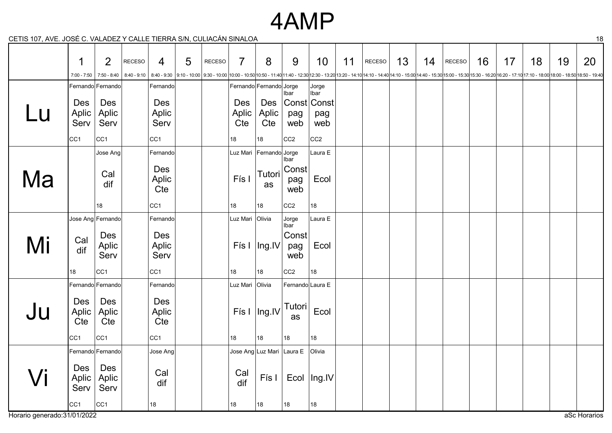#### 4AMP

CETIS 107, AVE. JOSÉ C. VALADEZ Y CALLE TIERRA S/N, CULIACÁN SINALOA 18

|    | 1                   | $\overline{2}$    | <b>RECESO</b> | $\overline{4}$  | 5 | RECESO | $\overline{7}$  | 8                                  | 9                | 10              | 11 | RECESO                                                                                                                                                                                                                         | 13 | 14 | RECESO | 16 | 17 | 18 | 19 | 20 |
|----|---------------------|-------------------|---------------|-----------------|---|--------|-----------------|------------------------------------|------------------|-----------------|----|--------------------------------------------------------------------------------------------------------------------------------------------------------------------------------------------------------------------------------|----|----|--------|----|----|----|----|----|
|    | 7:00 - 7:50         | 7:50 - 8:40       |               |                 |   |        |                 |                                    |                  |                 |    | 8:40 - 9:10   8:40 - 9:10   9:10 - 10:00   9:30 - 10:00   9:30 - 10:00   10:00 - 10:50   10:50 - 11:40 11:40 - 12:30   12:30 - 13:20 13:20 - 14:10 14:10 - 14:10   4:10 - 15:00   4:40 - 15:30   15:00 - 16:20   15:30 - 16:20 |    |    |        |    |    |    |    |    |
|    |                     | Fernando Fernando |               | Fernando        |   |        |                 | Fernando Fernando Jorge            | <b>Ibar</b>      | │Jorge<br>│Ibar |    |                                                                                                                                                                                                                                |    |    |        |    |    |    |    |    |
|    | Des                 | Des               |               | Des             |   |        | <b>Des</b>      | Des                                |                  | Const Const     |    |                                                                                                                                                                                                                                |    |    |        |    |    |    |    |    |
| LU | Aplic               | Aplic             |               | Aplic           |   |        | Aplic           | Aplic                              | pag              | pag             |    |                                                                                                                                                                                                                                |    |    |        |    |    |    |    |    |
|    | Serv                | Serv              |               | Serv            |   |        | Cte             | Cte                                | web              | web             |    |                                                                                                                                                                                                                                |    |    |        |    |    |    |    |    |
|    | CC <sub>1</sub>     | CC <sub>1</sub>   |               | CC <sub>1</sub> |   |        | 18              | $18\,$                             | CC <sub>2</sub>  | CC <sub>2</sub> |    |                                                                                                                                                                                                                                |    |    |        |    |    |    |    |    |
|    |                     | Jose Ang          |               | Fernando        |   |        |                 | Luz Mari Fernando Jorge            | Ibar             | Laura E         |    |                                                                                                                                                                                                                                |    |    |        |    |    |    |    |    |
|    |                     | Cal               |               | Des             |   |        |                 | Tutori                             | Const            |                 |    |                                                                                                                                                                                                                                |    |    |        |    |    |    |    |    |
| Ma |                     | dif               |               | Aplic<br>Cte    |   |        | Fís I           | as                                 | pag<br>web       | Ecol            |    |                                                                                                                                                                                                                                |    |    |        |    |    |    |    |    |
|    |                     |                   |               |                 |   |        |                 |                                    |                  |                 |    |                                                                                                                                                                                                                                |    |    |        |    |    |    |    |    |
|    |                     | 18                |               | CC <sub>1</sub> |   |        | 18              | 18                                 | CC <sub>2</sub>  | 18              |    |                                                                                                                                                                                                                                |    |    |        |    |    |    |    |    |
|    |                     | Jose Ang Fernando |               | Fernando        |   |        | Luz Mari Olivia |                                    | Jorge<br>Ibar    | Laura E         |    |                                                                                                                                                                                                                                |    |    |        |    |    |    |    |    |
|    | Cal                 | Des               |               | Des             |   |        |                 |                                    | Const            |                 |    |                                                                                                                                                                                                                                |    |    |        |    |    |    |    |    |
| Mi | dif                 | Aplic<br>Serv     |               | Aplic<br>Serv   |   |        |                 | Fís I $ $ Ing.IV                   | pag<br>web       | Ecol            |    |                                                                                                                                                                                                                                |    |    |        |    |    |    |    |    |
|    | 18                  | CC <sub>1</sub>   |               | CC <sub>1</sub> |   |        | 18              | 18                                 | CC <sub>2</sub>  | 18              |    |                                                                                                                                                                                                                                |    |    |        |    |    |    |    |    |
|    | Fernando Fernando   |                   |               | Fernando        |   |        | Luz Mari Olivia |                                    | Fernando Laura E |                 |    |                                                                                                                                                                                                                                |    |    |        |    |    |    |    |    |
|    |                     |                   |               |                 |   |        |                 |                                    |                  |                 |    |                                                                                                                                                                                                                                |    |    |        |    |    |    |    |    |
| Ju | <b>Des</b><br>Aplic | Des<br>Aplic      |               | Des<br>Aplic    |   |        |                 | $F$ ís I   Ing.IV                  | <b>Tutori</b>    | Ecol            |    |                                                                                                                                                                                                                                |    |    |        |    |    |    |    |    |
|    | Cte                 | Cte               |               | Cte             |   |        |                 |                                    | as               |                 |    |                                                                                                                                                                                                                                |    |    |        |    |    |    |    |    |
|    | CC <sub>1</sub>     | CC <sub>1</sub>   |               | CC <sub>1</sub> |   |        | 18              | 18                                 | 18               | 18              |    |                                                                                                                                                                                                                                |    |    |        |    |    |    |    |    |
|    |                     | Fernando Fernando |               | Jose Ang        |   |        |                 | Jose Ang Luz Mari Laura E   Olivia |                  |                 |    |                                                                                                                                                                                                                                |    |    |        |    |    |    |    |    |
|    |                     | Des               |               |                 |   |        |                 |                                    |                  |                 |    |                                                                                                                                                                                                                                |    |    |        |    |    |    |    |    |
| Vi | Des<br>Aplic        | Aplic             |               | Cal             |   |        | Cal             | Fís I                              |                  | Ecol   Ing.IV   |    |                                                                                                                                                                                                                                |    |    |        |    |    |    |    |    |
|    | Serv                | Serv              |               | dif             |   |        | dif             |                                    |                  |                 |    |                                                                                                                                                                                                                                |    |    |        |    |    |    |    |    |
|    | CC <sub>1</sub>     | CC1               |               | 18              |   |        | 18              | 18                                 | 18               | 18              |    |                                                                                                                                                                                                                                |    |    |        |    |    |    |    |    |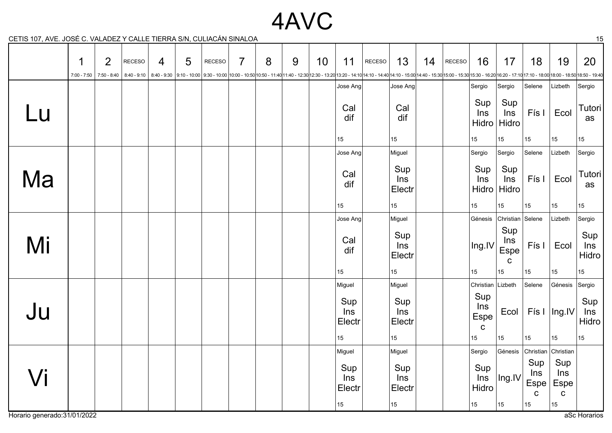## 4AVC

CETIS 107, AVE. JOSÉ C. VALADEZ Y CALLE TIERRA S/N, CULIACÁN SINALOA 15

|        | 1<br>$7:00 - 7:50$ | $\overline{2}$ | RECESO | $\overline{4}$ | 5 | <b>RECESO</b> | $\overline{7}$ | 8 | 9 | 10 | 11                   | RECESO | 13<br>7:50-8:40   8:40-9:10   8:40-9:10   8:40-9:30   9:10-10:00   9:30-10:00   9:30-10:00   9:30-10:00   9:30-10:00   9:00-11:40   1:40-12:30   12:30 - 13:20   13:20 - 14:10   4:10-14:10-14:40 14:10-15:00   4:40-15:30   15:00-16 | 14 | RECESO | 16                                | 17                                | 18                                | 19                                       | 20                  |
|--------|--------------------|----------------|--------|----------------|---|---------------|----------------|---|---|----|----------------------|--------|---------------------------------------------------------------------------------------------------------------------------------------------------------------------------------------------------------------------------------------|----|--------|-----------------------------------|-----------------------------------|-----------------------------------|------------------------------------------|---------------------|
|        |                    |                |        |                |   |               |                |   |   |    | Jose Ang             |        | Jose Ang                                                                                                                                                                                                                              |    |        | Sergio                            | Sergio                            | Selene                            | Lizbeth                                  | Sergio              |
| Lu     |                    |                |        |                |   |               |                |   |   |    | Cal<br>dif           |        | Cal<br>dif                                                                                                                                                                                                                            |    |        | Sup<br>Ins<br>Hidro               | Sup<br>Ins<br>Hidro               | Fís I                             | Ecol                                     | Tutori<br>as        |
|        |                    |                |        |                |   |               |                |   |   |    | 15                   |        | 15                                                                                                                                                                                                                                    |    |        | 15                                | 15                                | 15                                | 15                                       | 15 <sup>15</sup>    |
|        |                    |                |        |                |   |               |                |   |   |    | Jose Ang             |        | Miguel                                                                                                                                                                                                                                |    |        | Sergio                            | Sergio                            | Selene                            | Lizbeth                                  | Sergio              |
| Ma     |                    |                |        |                |   |               |                |   |   |    | Cal<br>dif           |        | Sup<br>Ins<br>Electr                                                                                                                                                                                                                  |    |        | Sup<br>Ins<br>Hidro               | Sup<br>Ins<br>Hidro               | Fís I                             | Ecol                                     | Tutori<br>as        |
|        |                    |                |        |                |   |               |                |   |   |    | 15 <sup>15</sup>     |        | 15 <sup>15</sup>                                                                                                                                                                                                                      |    |        | 15                                | 15 <sub>15</sub>                  | 15                                | 15 <sup>15</sup>                         | 15 <sup>15</sup>    |
|        |                    |                |        |                |   |               |                |   |   |    | Jose Ang             |        | Miguel                                                                                                                                                                                                                                |    |        | Génesis                           | Christian Selene                  |                                   | Lizbeth                                  | Sergio              |
| Mi     |                    |                |        |                |   |               |                |   |   |    | Cal<br>dif           |        | Sup<br><b>Ins</b><br>Electr                                                                                                                                                                                                           |    |        | Ing.IV                            | Sup<br>Ins<br>Espe<br>$\mathbf C$ | Fís I                             | Ecol                                     | Sup<br>Ins<br>Hidro |
|        |                    |                |        |                |   |               |                |   |   |    | 15                   |        | 15                                                                                                                                                                                                                                    |    |        | 15                                | 15                                | 15                                | 15                                       | 15 <sub>1</sub>     |
|        |                    |                |        |                |   |               |                |   |   |    | Miguel               |        | Miguel                                                                                                                                                                                                                                |    |        | Christian                         | Lizbeth                           | Selene                            | Génesis                                  | Sergio              |
| Ju     |                    |                |        |                |   |               |                |   |   |    | Sup<br>Ins<br>Electr |        | Sup<br>Ins<br>Electr                                                                                                                                                                                                                  |    |        | Sup<br>Ins<br>Espe<br>$\mathbf C$ | Ecol                              |                                   | Fís I $ $ Ing.IV                         | Sup<br>Ins<br>Hidro |
|        |                    |                |        |                |   |               |                |   |   |    | 15                   |        | 15                                                                                                                                                                                                                                    |    |        | 15 <sub>1</sub>                   | 15                                | 15                                | 15 <sub>1</sub>                          | 15                  |
|        |                    |                |        |                |   |               |                |   |   |    | Miguel               |        | Miguel                                                                                                                                                                                                                                |    |        | Sergio                            | Génesis                           | Christian                         | Christian                                |                     |
| $\int$ |                    |                |        |                |   |               |                |   |   |    | Sup<br>Ins<br>Electr |        | Sup<br>Ins<br>Electr                                                                                                                                                                                                                  |    |        | Sup<br>Ins<br>Hidro               | Ing.IV                            | Sup<br>Ins<br>Espe<br>$\mathbf C$ | Sup<br>Ins<br><b>Espe</b><br>$\mathbf C$ |                     |
|        |                    |                |        |                |   |               |                |   |   |    | 15                   |        | 15                                                                                                                                                                                                                                    |    |        | 15                                | 15                                | 15                                | 15                                       |                     |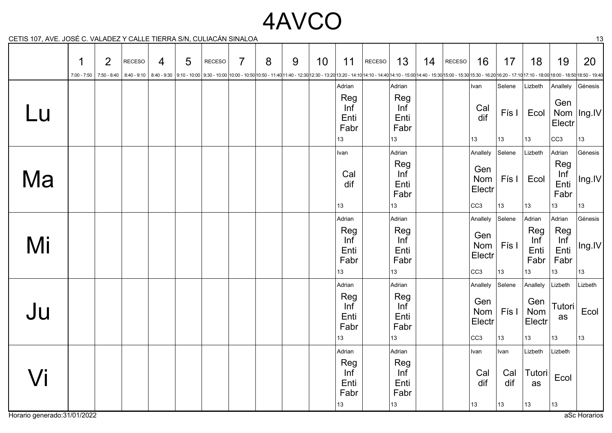# 4AVCO

CETIS 107, AVE. JOSÉ C. VALADEZ Y CALLE TIERRA S/N, CULIACÁN SINALOA 13

|    | 1             | $\overline{2}$ | <b>RECESO</b> | 4 | 5 | <b>RECESO</b> | $\overline{7}$ | 8 | 9 | 10 | 11                                         | RECESO | 13                                         | 14 | RECESO | 16                                 | 17                       | 18                                   | 19                                   | 20                                                                                                                                                                                                                                         |
|----|---------------|----------------|---------------|---|---|---------------|----------------|---|---|----|--------------------------------------------|--------|--------------------------------------------|----|--------|------------------------------------|--------------------------|--------------------------------------|--------------------------------------|--------------------------------------------------------------------------------------------------------------------------------------------------------------------------------------------------------------------------------------------|
|    | $7:00 - 7:50$ |                |               |   |   |               |                |   |   |    | Adrian                                     |        | Adrian                                     |    |        | Ivan                               | Selene                   | Lizbeth                              | Anallely                             | 7:50-8:40 15:30 15:30-16:20 16:20-17:10 17:10 - 17:10 17:10 - 18:00 18:00 - 11:50 9:30 - 10:00 9:30 - 10:00 10:00 - 11:40 11:40 - 12:30 12:30 - 13:20 13:20 - 14:10 14:10 - 14:40 14:10 - 15:00 14:40 - 15:30 15:00 - 15:30 15:<br>Génesis |
| Lu |               |                |               |   |   |               |                |   |   |    | Reg<br>Inf<br>Enti<br>Fabr                 |        | Reg<br>Inf<br>Enti<br>Fabr                 |    |        | Cal<br>dif                         | Fís I                    | Ecol                                 | Gen<br>Nom<br>Electr                 | $ $ Ing.IV                                                                                                                                                                                                                                 |
|    |               |                |               |   |   |               |                |   |   |    | 13                                         |        | 13                                         |    |        | 13                                 | 13                       | 13                                   | CC <sub>3</sub>                      | 13                                                                                                                                                                                                                                         |
|    |               |                |               |   |   |               |                |   |   |    | Ivan                                       |        | Adrian                                     |    |        | Anallely                           | Selene                   | Lizbeth                              | Adrian                               | Génesis                                                                                                                                                                                                                                    |
| Ma |               |                |               |   |   |               |                |   |   |    | Cal<br>dif                                 |        | Reg<br>Inf<br>Enti<br>Fabr                 |    |        | Gen<br>Nom<br>Electr               | Fís I                    | Ecol                                 | Reg<br>Inf<br>Enti<br>Fabr           | Ing.IV                                                                                                                                                                                                                                     |
|    |               |                |               |   |   |               |                |   |   |    | 13                                         |        | 13                                         |    |        | cc3                                | 13                       | 13                                   | 13                                   | 13                                                                                                                                                                                                                                         |
| Mi |               |                |               |   |   |               |                |   |   |    | Adrian<br>Reg<br>Inf<br>Enti<br>Fabr       |        | Adrian<br>Reg<br>Inf<br>Enti<br>Fabr       |    |        | Anallely<br>Gen<br>Nom<br>Electr   | Selene<br>Fís I          | Adrian<br>Reg<br>Inf<br>Enti<br>Fabr | Adrian<br>Reg<br>Inf<br>Enti<br>Fabr | Génesis<br>Ing.IV                                                                                                                                                                                                                          |
|    |               |                |               |   |   |               |                |   |   |    | 13                                         |        | 13                                         |    |        | cc3                                | 13                       | 13                                   | 13                                   | 13                                                                                                                                                                                                                                         |
|    |               |                |               |   |   |               |                |   |   |    | Adrian                                     |        | Adrian                                     |    |        | Anallely                           | Selene                   | Anallely                             | Lizbeth                              | Lizbeth                                                                                                                                                                                                                                    |
| Ju |               |                |               |   |   |               |                |   |   |    | Reg<br>Inf<br>Enti<br>Fabr                 |        | Reg<br>Inf<br>Enti<br>Fabr                 |    |        | Gen<br>Nom<br>Electr               | Fís I                    | Gen<br>Nom<br>Electr                 | Tutori<br>as                         | Ecol                                                                                                                                                                                                                                       |
|    |               |                |               |   |   |               |                |   |   |    | 13                                         |        | 13                                         |    |        | cc3                                | 13                       | 13                                   | 13                                   | 13                                                                                                                                                                                                                                         |
| Vi |               |                |               |   |   |               |                |   |   |    | Adrian<br>Reg<br>Inf<br>Enti<br>Fabr<br>13 |        | Adrian<br>Reg<br>Inf<br>Enti<br>Fabr<br>13 |    |        | Ivan<br>Cal<br>dif<br>$ 13\rangle$ | Ivan<br>Cal<br>dif<br>13 | Lizbeth<br>Tutori<br>as<br>13        | Lizbeth<br>Ecol<br>13                |                                                                                                                                                                                                                                            |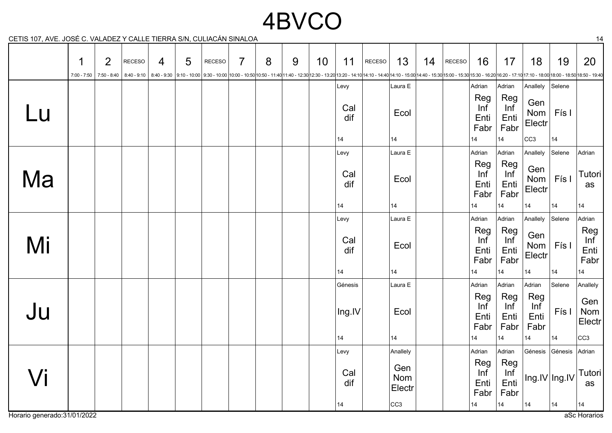# 4BVCO

CETIS 107, AVE. JOSÉ C. VALADEZ Y CALLE TIERRA S/N, CULIACÁN SINALOA 14

|                   | 1<br>$7:00 - 7:50$ | $\overline{2}$<br>7:50 - 8:40 | <b>RECESO</b> | $\overline{4}$ | 5 | <b>RECESO</b><br>830018:00 - 17:10 8:40 - 9:30 9:10 - 10:00 9:30 - 10:00 10:00 - 10:00 10:00 - 10:50 10:50 - 11:40 12:30 - 12:30 13:20 - 13:20 13:20 - 14:10 14:10 - 14:10 14:10 - 12:30 14:40 - 12:00 14:40 - 12:30 15:00 - 15:30 15:00 - 16:20 | $\overline{7}$ | 8 | 9 | 10 | 11         | RECESO | 13                   | 14 | RECESO | 16                         | 17                         | 18                         | 19            | 20                         |
|-------------------|--------------------|-------------------------------|---------------|----------------|---|--------------------------------------------------------------------------------------------------------------------------------------------------------------------------------------------------------------------------------------------------|----------------|---|---|----|------------|--------|----------------------|----|--------|----------------------------|----------------------------|----------------------------|---------------|----------------------------|
|                   |                    |                               |               |                |   |                                                                                                                                                                                                                                                  |                |   |   |    | Levy       |        | Laura E              |    |        | Adrian                     | Adrian                     | Anallely                   | Selene        |                            |
| Lu                |                    |                               |               |                |   |                                                                                                                                                                                                                                                  |                |   |   |    | Cal<br>dif |        | Ecol                 |    |        | Reg<br>Inf<br>Enti<br>Fabr | Reg<br>Inf<br>Enti<br>Fabr | Gen<br>Nom<br>Electr       | Fís I         |                            |
|                   |                    |                               |               |                |   |                                                                                                                                                                                                                                                  |                |   |   |    | 14         |        | 14                   |    |        | 14                         | 14                         | CC <sub>3</sub>            | 14            |                            |
|                   |                    |                               |               |                |   |                                                                                                                                                                                                                                                  |                |   |   |    | Levy       |        | Laura E              |    |        | Adrian                     | Adrian                     | Anallely                   | Selene        | Adrian                     |
| Ma                |                    |                               |               |                |   |                                                                                                                                                                                                                                                  |                |   |   |    | Cal<br>dif |        | Ecol                 |    |        | Reg<br>Inf<br>Enti<br>Fabr | Reg<br>Inf<br>Enti<br>Fabr | Gen<br>Nom<br>Electr       | Fís I         | Tutori<br>as               |
|                   |                    |                               |               |                |   |                                                                                                                                                                                                                                                  |                |   |   |    | 14         |        | 14                   |    |        | 14                         | 14                         | 14                         | 14            | 14                         |
|                   |                    |                               |               |                |   |                                                                                                                                                                                                                                                  |                |   |   |    | Levy       |        | Laura E              |    |        | Adrian                     | Adrian                     | Anallely                   | Selene        | Adrian                     |
| Mi                |                    |                               |               |                |   |                                                                                                                                                                                                                                                  |                |   |   |    | Cal<br>dif |        | Ecol                 |    |        | Reg<br>Inf<br>Enti<br>Fabr | Reg<br>Inf<br>Enti<br>Fabr | Gen<br>Nom<br>Electr       | Fís I         | Reg<br>Inf<br>Enti<br>Fabr |
|                   |                    |                               |               |                |   |                                                                                                                                                                                                                                                  |                |   |   |    | 14         |        | 14                   |    |        | 14                         | 14                         | 14                         | 14            | 14                         |
|                   |                    |                               |               |                |   |                                                                                                                                                                                                                                                  |                |   |   |    | Génesis    |        | Laura E              |    |        | Adrian                     | Adrian                     | Adrian                     | Selene        | Anallely                   |
| Ju                |                    |                               |               |                |   |                                                                                                                                                                                                                                                  |                |   |   |    | Ing.IV     |        | Ecol                 |    |        | Reg<br>Inf<br>Enti<br>Fabr | Reg<br>Inf<br>Enti<br>Fabr | Reg<br>Inf<br>Enti<br>Fabr | Fís I         | Gen<br>Nom<br>Electr       |
|                   |                    |                               |               |                |   |                                                                                                                                                                                                                                                  |                |   |   |    | 14         |        | 14                   |    |        | 14                         | 14                         | 14                         | 14            | CC3                        |
|                   |                    |                               |               |                |   |                                                                                                                                                                                                                                                  |                |   |   |    | Levy       |        | Anallely             |    |        | Adrian                     | Adrian                     | Génesis                    | Génesis       | Adrian                     |
| $\sqrt{\text{i}}$ |                    |                               |               |                |   |                                                                                                                                                                                                                                                  |                |   |   |    | Cal<br>dif |        | Gen<br>Nom<br>Electr |    |        | Reg<br>Inf<br>Enti<br>Fabr | Reg<br>Inf<br>Enti<br>Fabr |                            | Ing.IV Ing.IV | <b>Tutori</b><br>as        |
|                   |                    |                               |               |                |   |                                                                                                                                                                                                                                                  |                |   |   |    | 14         |        | CC <sub>3</sub>      |    |        | 14                         | 14                         | 14                         | 14            | 14                         |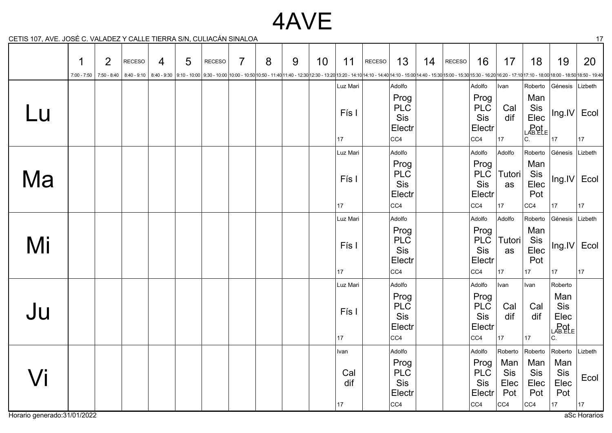### 4AVE

CETIS 107, AVE. JOSÉ C. VALADEZ Y CALLE TIERRA S/N, CULIACÁN SINALOA 17

|                   | 1<br>$7:00 - 7:50$ | $\overline{2}$ | RECESO | 4 | 5 | <b>RECESO</b> | $\overline{7}$ | 8 | 9 | 10 | 11                      | RECESO | 13                                                   | 14 | RECESO | 16                                                    | 17                               | 18<br>7:50-8:40 15:30 16:30 - 17:10 17:10 - 17:10 17:10 - 18:00 18:00 - 18:50 18:50 - 19:40 - 18:00 10:00 - 11:40 11:40 - 12:30 12:30 - 13:20 13:20 - 14:10 14:10 - 14:40 14:10 - 15:00 14:40 - 15:30 15:00 - 15:30 15:30 - 16:20 16: | 19                                             | 20          |
|-------------------|--------------------|----------------|--------|---|---|---------------|----------------|---|---|----|-------------------------|--------|------------------------------------------------------|----|--------|-------------------------------------------------------|----------------------------------|---------------------------------------------------------------------------------------------------------------------------------------------------------------------------------------------------------------------------------------|------------------------------------------------|-------------|
|                   |                    |                |        |   |   |               |                |   |   |    | Luz Mari                |        | Adolfo                                               |    |        | Adolfo                                                | Ivan                             | Roberto                                                                                                                                                                                                                               | Génesis                                        | Lizbeth     |
| Lu                |                    |                |        |   |   |               |                |   |   |    | Fís I                   |        | Prog<br><b>PLC</b><br>Sis<br>Electr                  |    |        | Prog<br><b>PLC</b><br>Sis<br>Electr                   | Cal<br>dif                       | Man<br>Sis<br>Elec<br>LAB. ELE                                                                                                                                                                                                        | $\ln g$ . $ V $                                | Ecol        |
|                   |                    |                |        |   |   |               |                |   |   |    | 17                      |        | CC4                                                  |    |        | CC4                                                   | $ 17\rangle$                     | C.                                                                                                                                                                                                                                    | 17                                             | 17          |
|                   |                    |                |        |   |   |               |                |   |   |    | Luz Mari                |        | Adolfo<br>Prog                                       |    |        | Adolfo<br>Prog                                        | Adolfo                           | Roberto<br>Man                                                                                                                                                                                                                        | Génesis                                        | Lizbeth     |
| Ma                |                    |                |        |   |   |               |                |   |   |    | Fís I                   |        | <b>PLC</b><br>Sis<br>Electr                          |    |        | <b>PLC</b><br>Sis<br>Electr                           | Tutori<br>as                     | Sis<br>Elec<br>Pot                                                                                                                                                                                                                    | $\vert \text{Ing.IV} \vert$                    | Ecol        |
|                   |                    |                |        |   |   |               |                |   |   |    | 17                      |        | CC4                                                  |    |        | cc4                                                   | 17                               | CC4                                                                                                                                                                                                                                   | 17                                             | 17          |
|                   |                    |                |        |   |   |               |                |   |   |    | Luz Mari                |        | Adolfo                                               |    |        | Adolfo                                                | Adolfo                           | Roberto                                                                                                                                                                                                                               | Génesis                                        | Lizbeth     |
| Mi                |                    |                |        |   |   |               |                |   |   |    | Fís I                   |        | Prog<br><b>PLC</b><br>Sis<br>Electr                  |    |        | Prog<br><b>PLC</b><br>Sis<br>Electr                   | <b>Tutori</b><br>as              | Man<br>Sis<br>Elec<br>Pot                                                                                                                                                                                                             | $\vert$ Ing.IV                                 | Ecol        |
|                   |                    |                |        |   |   |               |                |   |   |    | 17                      |        | CC4                                                  |    |        | cc4                                                   | $ 17\rangle$                     | 17                                                                                                                                                                                                                                    | 17                                             | 17          |
| Ju                |                    |                |        |   |   |               |                |   |   |    | Luz Mari<br>Fís I<br>17 |        | Adolfo<br>Prog<br><b>PLC</b><br>Sis<br>Electr<br>CC4 |    |        | Adolfo<br>Prog<br><b>PLC</b><br>Sis<br>Electr<br> cc4 | Ivan<br>Cal<br>dif<br>17         | Ivan<br>Cal<br>dif<br>17                                                                                                                                                                                                              | Roberto<br>Man<br>Sis<br>Elec<br>LAB.ELE<br>c. |             |
|                   |                    |                |        |   |   |               |                |   |   |    | Ivan                    |        | Adolfo                                               |    |        | Adolfo                                                | Roberto                          | Roberto                                                                                                                                                                                                                               | Roberto                                        | Lizbeth     |
| $\sqrt{\text{i}}$ |                    |                |        |   |   |               |                |   |   |    | Cal<br>dif<br>17        |        | Prog<br><b>PLC</b><br>Sis<br>Electr<br> CC4          |    |        | Prog<br><b>PLC</b><br>Sis<br>Electr<br> CC4           | Man<br>Sis<br>Elec<br>Pot<br>CC4 | Man<br><b>Sis</b><br>Elec<br>Pot<br>CC4                                                                                                                                                                                               | Man<br>Sis<br>Elec<br>Pot<br>17                | Ecol<br> 17 |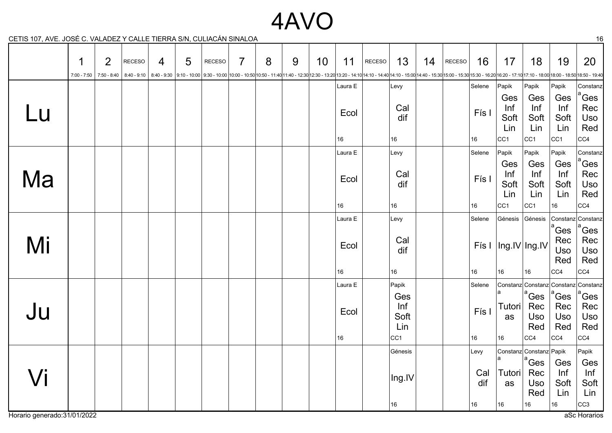### 4AVO

CETIS 107, AVE. JOSÉ C. VALADEZ Y CALLE TIERRA S/N, CULIACÁN SINALOA 16

|    | 1<br>$7:00 - 7:50$ | $\overline{2}$<br>7:50 - 8:40 | RECESO | 4 | 5 | RECESO | $\overline{7}$ | 8 | 9 | 10 | 11                    | RECESO | 13                                                    | 14 | RECESO | 16                       | 17                                                     | 18<br>8:40 - 9:10   8:40 - 9:10   9:10 - 10:00   9:30 - 10:00   9:30 - 10:00   10:00 - 10:00   10:00 - 10:00   10:00 - 11:40 11:40 - 12:30   12:30 - 13:20   13:20 - 14:10   14:10 - 14:40   14:10 - 15:00   14:10 - 15:30   15:00 - | 19                                            | 20                                                                |
|----|--------------------|-------------------------------|--------|---|---|--------|----------------|---|---|----|-----------------------|--------|-------------------------------------------------------|----|--------|--------------------------|--------------------------------------------------------|--------------------------------------------------------------------------------------------------------------------------------------------------------------------------------------------------------------------------------------|-----------------------------------------------|-------------------------------------------------------------------|
| Lu |                    |                               |        |   |   |        |                |   |   |    | Laura E<br>Ecol<br>16 |        | Levy<br>Cal<br>dif<br>16                              |    |        | Selene<br>Fís I<br>16    | Papik<br>Ges<br>Inf<br>Soft<br>Lin<br>  <sub>CC1</sub> | Papik<br>Ges<br>Inf<br>Soft<br>Lin<br>CC <sub>1</sub>                                                                                                                                                                                | Papik<br>Ges<br>Inf<br>Soft<br>Lin<br> CC1    | Constanz<br><sup>1</sup> Ges<br>Rec<br><b>Uso</b><br>Red<br>CC4   |
| Ma |                    |                               |        |   |   |        |                |   |   |    | Laura E<br>Ecol<br>16 |        | Levy<br>Cal<br>dif<br>16                              |    |        | Selene<br>Fís I<br>16    | Papik<br>Ges<br>Inf<br>Soft<br>Lin<br>CC <sub>1</sub>  | Papik<br>Ges<br>Inf<br>Soft<br>Lin<br>CC <sub>1</sub>                                                                                                                                                                                | Papik<br>Ges<br>Inf<br>Soft<br>Lin<br>16      | Constanz<br><sup>ª</sup> Ges<br>Rec<br>Uso<br>Red<br>CC4          |
| Mi |                    |                               |        |   |   |        |                |   |   |    | Laura E<br>Ecol<br>16 |        | Levy<br>Cal<br>dif<br>16                              |    |        | Selene<br>16             | Génesis<br>16                                          | Génesis<br>Fís I $ Ing.IV $ lng.IV<br>16                                                                                                                                                                                             | <sup>1</sup> Ges<br>Rec<br>Uso<br>Red<br> CC4 | Constanz Constanz<br><sup>ª</sup> Ges<br>Rec<br>Uso<br>Red<br>CC4 |
| Ju |                    |                               |        |   |   |        |                |   |   |    | Laura E<br>Ecol<br>16 |        | Papik<br>Ges<br>Inf<br>Soft<br>Lin<br>CC <sub>1</sub> |    |        | Selene<br>Fís I<br>16    | Tutori<br>as<br>16                                     | Constanz Constanz<br>$\mathrm{^a}$ Ges<br>Rec<br>Uso<br>Red<br>CC4                                                                                                                                                                   | Constanz<br>ຶGes<br>Rec<br>Uso<br>Red<br>CC4  | Constanz<br>ໍGes<br>Rec<br>Uso<br>Red<br>CC4                      |
| Vi |                    |                               |        |   |   |        |                |   |   |    |                       |        | Génesis<br>Ing.IV<br>16                               |    |        | Levy<br>Cal<br>dif<br>16 | Tutori<br>as<br>16                                     | Constanz Constanz Papik<br>$\vert^a$ Ges<br>Rec<br>Uso<br>Red<br>16                                                                                                                                                                  | Ges<br>Inf<br>Soft<br>Lin<br>16               | Papik<br>Ges<br>Inf<br>Soft<br>Lin<br> cc3                        |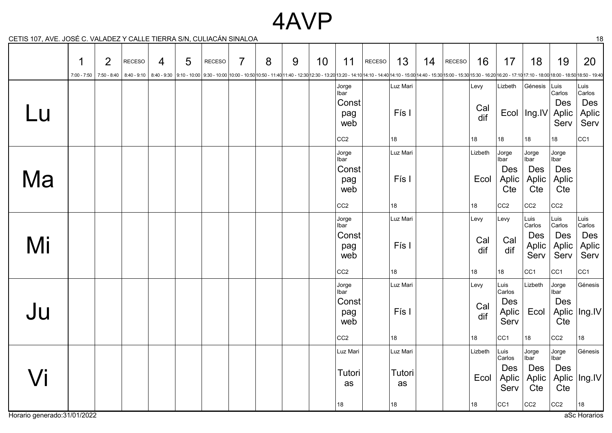#### 4AVP

CETIS 107, AVE. JOSÉ C. VALADEZ Y CALLE TIERRA S/N, CULIACÁN SINALOA 18

|    | 1 | $\overline{2}$ | <b>RECESO</b> | $\overline{4}$ | 5 | <b>RECESO</b> | $\overline{7}$ | 8 | 9 | 10 | 11                                                             | RECESO | 13                             | 14 | <b>RECESO</b> | 16                       | 17                                                        | 18<br>7:00-7:50 16:30 - 17:10 17:10 - 8:40   8:40 - 9:10   8:40 - 9:30   9:10 - 10:00   9:30 - 10:00   9:30 - 10:00   10:00 - 10:00   10:00 - 10:50 10:50 - 11:40 12:30 - 12:30 12:30 - 13:20 13:20 - 14:10 14:10 - 14:10 14:10 - 15: | 19                                                             | 20                                                        |
|----|---|----------------|---------------|----------------|---|---------------|----------------|---|---|----|----------------------------------------------------------------|--------|--------------------------------|----|---------------|--------------------------|-----------------------------------------------------------|---------------------------------------------------------------------------------------------------------------------------------------------------------------------------------------------------------------------------------------|----------------------------------------------------------------|-----------------------------------------------------------|
| Lu |   |                |               |                |   |               |                |   |   |    | Jorge<br>Ibar<br>Const<br>pag<br>web<br>CC <sub>2</sub>        |        | Luz Mari<br>Fís I<br>18        |    |               | Levy<br>Cal<br>dif<br>18 | Lizbeth<br>18                                             | Génesis<br>Ecol   Ing.IV<br>18                                                                                                                                                                                                        | Luis<br>Carlos<br>Des<br>Aplic<br>Serv<br>18                   | Luis<br>Carlos<br>Des<br>Aplic<br>Serv<br>CC <sub>1</sub> |
| Ma |   |                |               |                |   |               |                |   |   |    | Jorge<br><b>Ibar</b><br>Const<br>pag<br>web<br>CC <sub>2</sub> |        | Luz Mari<br>Fís I<br>18        |    |               | Lizbeth<br>Ecol<br>18    | Jorge<br>Ibar<br>Des<br>Aplic<br>Cte<br>CC <sub>2</sub>   | Jorge<br>∣lbar<br>Des<br>Aplic<br>Cte<br>CC <sub>2</sub>                                                                                                                                                                              | Jorge<br>Ibar<br>Des<br>Aplic<br>Cte<br>CC <sub>2</sub>        |                                                           |
| Mi |   |                |               |                |   |               |                |   |   |    | Jorge<br><b>Ibar</b><br>Const<br>pag<br>web<br>CC <sub>2</sub> |        | Luz Mari<br>Fís I<br>18        |    |               | Levy<br>Cal<br>dif<br>18 | Levy<br>Cal<br>dif<br>18                                  | Luis<br>Carlos<br>Des<br>Aplic<br>Serv<br>  <sub>CC1</sub>                                                                                                                                                                            | Luis<br>Carlos<br>Des<br>Aplic<br>Serv<br>CC <sub>1</sub>      | Luis<br>Carlos<br>Des<br>Aplic<br>Serv<br>CC <sub>1</sub> |
| Ju |   |                |               |                |   |               |                |   |   |    | Jorge<br><b>Ibar</b><br>Const<br>pag<br>web<br>CC <sub>2</sub> |        | Luz Mari<br>Fís I<br>18        |    |               | Levy<br>Cal<br>dif<br>18 | Luis<br>Carlos<br>Des<br>Aplic<br>Serv<br>CC <sub>1</sub> | Lizbeth<br>Ecol<br>18                                                                                                                                                                                                                 | Jorge<br>Ibar<br>Des<br>Aplic<br>Cte<br>CC <sub>2</sub>        | Génesis<br>$ $ Ing.IV<br>18                               |
| Vi |   |                |               |                |   |               |                |   |   |    | Luz Mari<br>Tutori<br>as<br>18                                 |        | Luz Mari<br>Tutori<br>as<br>18 |    |               | Lizbeth<br>Ecol<br>18    | Luis<br>Carlos<br>Des<br>Aplic<br>Serv<br>CC <sub>1</sub> | Jorge<br>Ibar<br>Des<br>Aplic<br>Cte<br>CC <sub>2</sub>                                                                                                                                                                               | Jorge<br>Ibar<br><b>Des</b><br>Aplic<br>Cte<br>CC <sub>2</sub> | Génesis<br>$ $ Ing.IV<br>18                               |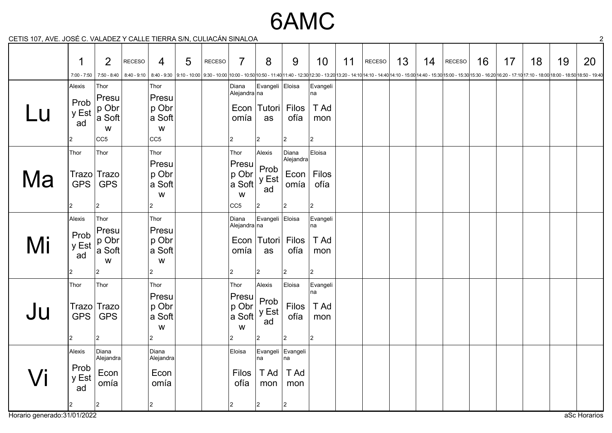6AMC

CETIS 107, AVE. JOSÉ C. VALADEZ Y CALLE TIERRA S/N, CULIACÁN SINALOA 2

| $5 - 10$ |                                      |                                                                |               |                                                          |   |               |                                                                   |                                                                                  |                                                          |                                              |    |               |    |    |        |    |    |    |                                                                                                                                                                                                                                      |    |
|----------|--------------------------------------|----------------------------------------------------------------|---------------|----------------------------------------------------------|---|---------------|-------------------------------------------------------------------|----------------------------------------------------------------------------------|----------------------------------------------------------|----------------------------------------------|----|---------------|----|----|--------|----|----|----|--------------------------------------------------------------------------------------------------------------------------------------------------------------------------------------------------------------------------------------|----|
|          | 1<br>$7:00 - 7:50$                   | 2                                                              | <b>RECESO</b> | 4                                                        | 5 | <b>RECESO</b> | $\overline{7}$                                                    | 8                                                                                | 9                                                        | 10                                           | 11 | <b>RECESO</b> | 13 | 14 | RECESO | 16 | 17 | 18 | 19<br>7:50-8:40   8:40-9:10   8:40-9:10   8:40-9:30   9:10-10:00   9:30-10:00   9:30-10:00   9:30-10:00   9:30-10:00   9:00-11:40   11:40-12:30   12:30 - 13:20   13:20 - 14:10   4:10-14:10-14:40 - 15:00 14:40-15:30   15:00-15:30 | 20 |
| $\_$ U   | Alexis<br>Prob<br>y Est<br>ad        | Thor<br>Presu<br>p Obr<br>a Soft<br>W<br>CC <sub>5</sub>       |               | Thor<br>Presu<br>p Obr<br>a Soft<br>W<br>CC <sub>5</sub> |   |               | omía<br>2                                                         | Diana Evangeli Eloisa<br>Alejandra na<br>Econ   Tutori  <br>as<br>$\overline{2}$ | Filos<br>ofía<br>$\vert$ 2                               | Evangeli<br>na<br>T Ad<br>mon<br>$ 2\rangle$ |    |               |    |    |        |    |    |    |                                                                                                                                                                                                                                      |    |
| Ma       | Thor<br><b>GPS</b>                   | Thor<br>Trazo Trazo<br><b>GPS</b><br>$\overline{2}$            |               | Thor<br>Presu<br>p Obr<br>a Soft<br>W<br>$\overline{2}$  |   |               | Thor<br>Presu<br>p Obr<br>a Soft<br>W<br> CC5                     | Alexis<br>Prob<br>y Est<br>ad<br>$\overline{a}$                                  | Diana<br>Alejandra<br>Econ<br>omía<br>$\overline{2}$     | Eloisa<br>Filos<br>ofía<br>$ 2\rangle$       |    |               |    |    |        |    |    |    |                                                                                                                                                                                                                                      |    |
| Mi       | <b>Alexis</b><br>Prob<br>y Est<br>ad | Thor<br>Presu<br>$ p \text{ Obr} $<br>a Soft<br>W<br>$\vert$ 2 |               | Thor<br>Presu<br>p Obr<br>a Soft<br>W<br>$\overline{c}$  |   |               | Diana<br>Alejandra∣na<br>Econ<br>omía<br>2                        | Evangeli Eloisa<br> Tutori <br>as<br>2                                           | Filos<br>ofía<br>$\overline{2}$                          | Evangeli<br>na<br>T Ad<br>mon<br>$ 2\rangle$ |    |               |    |    |        |    |    |    |                                                                                                                                                                                                                                      |    |
| Ju       | Thor<br>Trazo<br><b>GPS</b>          | Thor<br>Trazo<br><b>GPS</b><br>l2.                             |               | Thor<br>Presu<br>p Obr<br>a Soft<br>W<br>$\overline{a}$  |   |               | Thor<br>Presu<br>p Obr<br><sup>l</sup> a Soft<br>W<br>$ 2\rangle$ | Alexis<br>Prob<br>y Est<br>ad<br>$\overline{2}$                                  | Eloisa<br>Filos  <br>ofía<br>$\overline{2}$              | Evangeli<br>na<br>T Ad<br>mon<br>$ 2\rangle$ |    |               |    |    |        |    |    |    |                                                                                                                                                                                                                                      |    |
|          | Alexis<br>Prob<br>y Est<br>ad        | Diana<br>Alejandra<br>Econ<br>omía<br>$ 2\rangle$              |               | Diana<br>Alejandra<br>Econ<br>omía<br>$\mathcal{P}$      |   |               | Eloisa<br><b>Filos</b><br>ofía                                    | na<br>T Ad<br>mon<br>$ 2\rangle$                                                 | Evangeli Evangeli<br>na<br>T Ad<br>mon<br>$\overline{2}$ |                                              |    |               |    |    |        |    |    |    |                                                                                                                                                                                                                                      |    |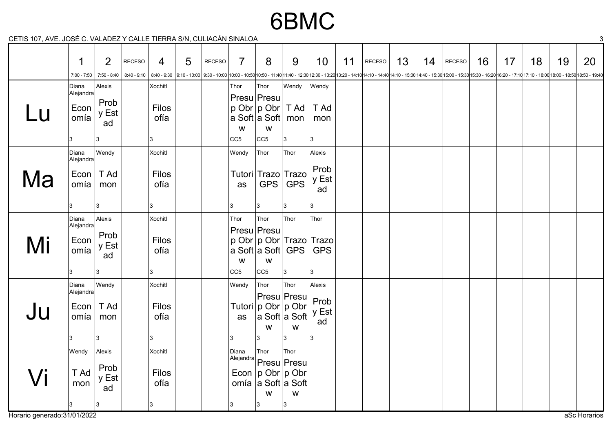## 6BMC

CETIS 107, AVE. JOSÉ C. VALADEZ Y CALLE TIERRA S/N, CULIACÁN SINALOA 3

|    | $\mathbf 1$<br>7:00 - 7:50                | 2                                   | RECESO | 4                             | 5 | RECESO | $\overline{7}$               | 8                                           | 9                                                                                                        | 10 <sup>°</sup>                            | 11 | <b>RECESO</b><br>7:50-8:40   8:40-9:10   8:40-9:30   8:40-9:30   9:10-10:00   9:30-10:00   9:30-10:00   9:30-10:00   9:30-10:00   9:00-11:40   11:40-11:40-12:30   12:30 - 13:20   13:20-14:10   14:10-14:40   14:10-15:00   14:40-15:30   15:00 | 13 | 14 | RECESO | 16 | 17 | 18 | 19 | 20 |
|----|-------------------------------------------|-------------------------------------|--------|-------------------------------|---|--------|------------------------------|---------------------------------------------|----------------------------------------------------------------------------------------------------------|--------------------------------------------|----|--------------------------------------------------------------------------------------------------------------------------------------------------------------------------------------------------------------------------------------------------|----|----|--------|----|----|----|----|----|
| U  | Diana<br>Alejandra<br>Econ<br>omía        | Alexis<br>Prob<br>y Est<br>ad<br>3  |        | Xochitl<br>Filos<br>ofía<br>3 |   |        | Thor<br>W<br>CC <sub>5</sub> | Thor<br>Presu Presu<br>W<br>CC <sub>5</sub> | Wendy<br>$p$ Obr $p$ Obr $T$ Ad $T$ Ad<br>∣a Soft∣a Soft∣ mon I<br>3                                     | Wendy<br>mon<br> 3                         |    |                                                                                                                                                                                                                                                  |    |    |        |    |    |    |    |    |
| Ma | Diana<br>Alejandra<br>$Econ$ T Ad<br>omía | Wendy<br>mon<br>3                   |        | Xochitl<br>Filos<br>ofía<br>3 |   |        | Wendy<br>as<br>13            | Thor<br>GPS<br>3                            | Thor<br>Tutori Trazo Trazo<br><b>GPS</b><br>3                                                            | Alexis<br>Prob<br>y Est<br>ad<br>3         |    |                                                                                                                                                                                                                                                  |    |    |        |    |    |    |    |    |
| Mi | Diana<br>Alejandra<br>Econ<br>omía        | Alexis<br>Prob<br>y Est<br>ad<br>3  |        | Xochitl<br>Filos<br>ofía<br>3 |   |        | Thor<br>W<br> CC5            | Thor<br>Presu Presu<br>W<br>CC <sub>5</sub> | Thor<br>p Obr   p Obr   Trazo   Trazo<br>∣a Soft∣a Soft∣ GPS ∣ GPS<br>3                                  | Thor<br> 3                                 |    |                                                                                                                                                                                                                                                  |    |    |        |    |    |    |    |    |
| Ju | Diana<br>Alejandra<br>$Econ$ T Ad<br>omía | Wendy<br>mon<br>3                   |        | Xochitl<br>Filos<br>ofía<br>3 |   |        | Wendy<br>as<br>13            | Thor<br>W<br>3                              | Thor<br>$ $ Presu $ $ Presu $ $<br>Tutori   p Obr   p Obr  <br>$ a\>Soft a\>Soft $<br>${\mathsf W}$<br>3 | Alexis<br>Prob<br>y Est<br>ad<br><u> з</u> |    |                                                                                                                                                                                                                                                  |    |    |        |    |    |    |    |    |
| Vi | Wendy<br>T Ad<br>mon                      | Alexis<br>Prob<br>y Est<br>ad<br> 3 |        | Xochitl<br>Filos<br>ofía<br>3 |   |        | Diana<br>3                   | Thor<br>W<br> 3                             | Thor<br>Alejandra Presu Presu<br>Econ $ p \text{ Obr} p \text{ Obr}$<br>omía a Soft a Soft<br>W<br> 3    |                                            |    |                                                                                                                                                                                                                                                  |    |    |        |    |    |    |    |    |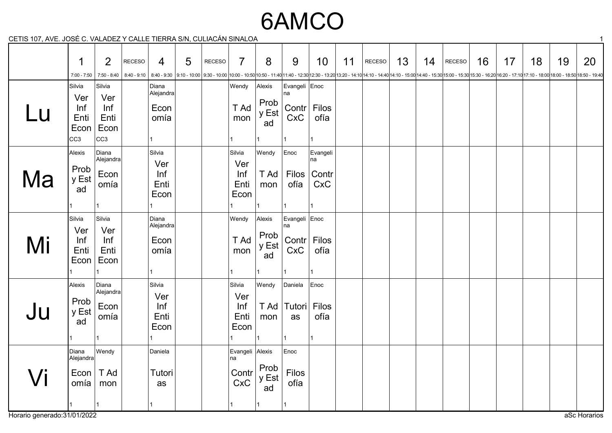# 6AMCO

CETIS 107, AVE. JOSÉ C. VALADEZ Y CALLE TIERRA S/N, CULIACÁN SINALOA 1

|    | 1                                                       | 2                                            | <b>RECESO</b> | $\overline{4}$                                                                                                                                                                                                                  | 5 | RECESO | $\overline{7}$                               | 8                             | 9                          | 10                                             | 11 | RECESO | 13 | 14 | RECESO | 16 | 17 | 18 | 19 | 20 |
|----|---------------------------------------------------------|----------------------------------------------|---------------|---------------------------------------------------------------------------------------------------------------------------------------------------------------------------------------------------------------------------------|---|--------|----------------------------------------------|-------------------------------|----------------------------|------------------------------------------------|----|--------|----|----|--------|----|----|----|----|----|
|    | $7:00 - 7:50$                                           |                                              |               | 7:50-8:40 15:30 15:30-16:20 17:10 17:10 - 17:10 17:10 - 18:00 18:00 - 18:00 18:30 - 10:00 9:30 - 10:00 9:30 - 10:00 10:00 - 11:40 11:40 - 12:30 12:30 - 13:20 13:20 - 14:10 14:10 - 14:40 14:10 - 15:00 14:40 - 15:30 15:00 - 1 |   |        |                                              |                               |                            |                                                |    |        |    |    |        |    |    |    |    |    |
| Lu | Silvia<br>Ver<br>Inf<br>Enti<br>Econ<br>CC <sub>3</sub> | Silvia<br>Ver<br>Inf<br>Enti<br>Econ<br> cc3 |               | Diana<br>Alejandra<br>Econ<br>omía<br>$\mathbf{1}$                                                                                                                                                                              |   |        | Wendy<br>T Ad<br>mon                         | Alexis<br>Prob<br>y Est<br>ad | Evangeli Enoc<br>na<br>CxC | Contr Filos<br>ofía                            |    |        |    |    |        |    |    |    |    |    |
| Ma | Alexis<br>Prob<br>y Est<br>ad                           | Diana<br>Alejandra<br>Econ<br>omía           |               | Silvia<br>Ver<br>Inf<br>Enti<br>Econ<br>1                                                                                                                                                                                       |   |        | Silvia<br>Ver<br>Inf<br>Enti<br>Econ         | Wendy<br>T Ad<br>mon          | Enoc<br>ofía               | Evangeli<br>∣na<br>Filos   Contr<br><b>CxC</b> |    |        |    |    |        |    |    |    |    |    |
| Mi | Silvia<br>Ver<br>Inf<br>Enti<br>Econ                    | Silvia<br>Ver<br>Inf<br>Enti<br>Econ         |               | Diana<br>Alejandra<br>Econ<br>omía<br>$\mathbf{1}$                                                                                                                                                                              |   |        | Wendy<br>T Ad<br>mon<br>1                    | Alexis<br>Prob<br>y Est<br>ad | Evangeli Enoc<br>na<br>CxC | Contr   Filos<br>ofía                          |    |        |    |    |        |    |    |    |    |    |
| Ju | Alexis<br>Prob<br>y Est<br>ad                           | Diana<br>Alejandra<br>Econ<br>omía           |               | Silvia<br>Ver<br>Inf<br>Enti<br>Econ                                                                                                                                                                                            |   |        | Silvia<br>Ver<br>Inf<br>Enti<br>Econ         | Wendy<br>T Ad<br>mon          | Daniela<br>Tutori<br>as    | Enoc<br>Filos<br>ofía<br>l 1                   |    |        |    |    |        |    |    |    |    |    |
| Vi | Diana<br>Alejandra<br>Econ<br>omía                      | Wendy<br>T Ad<br>mon<br>11                   |               | Daniela<br>Tutori<br>as                                                                                                                                                                                                         |   |        | Evangeli Alexis<br>na<br>Contr<br><b>CxC</b> | Prob<br>y Est<br>ad           | Enoc<br>Filos<br>ofía      |                                                |    |        |    |    |        |    |    |    |    |    |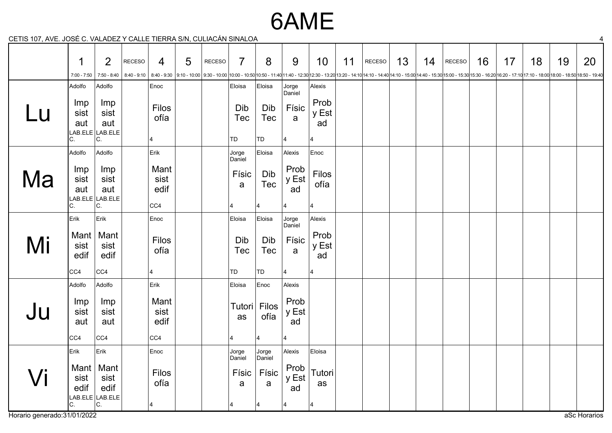### 6AME

CETIS 107, AVE. JOSÉ C. VALADEZ Y CALLE TIERRA S/N, CULIACÁN SINALOA 4

|    | 1                        | $\overline{2}$                                 | <b>RECESO</b> | 4                           | 5 | <b>RECESO</b> | $\overline{7}$             | 8                       | 9                   | 10                  | 11 | RECESO                                                                                                                                                                                                                         | 13 | 14 | RECESO | 16 | 17 | 18 | 19 | 20 |
|----|--------------------------|------------------------------------------------|---------------|-----------------------------|---|---------------|----------------------------|-------------------------|---------------------|---------------------|----|--------------------------------------------------------------------------------------------------------------------------------------------------------------------------------------------------------------------------------|----|----|--------|----|----|----|----|----|
|    | $7:00 - 7:50$            | $7:50 - 8:40$                                  |               |                             |   |               |                            |                         |                     |                     |    | 8:40 - 9:10   8:40 - 9:10   8:40 - 9:10   9:10 - 10:00   9:30 - 10:00   9:30 - 10:00   10:00 - 10:00   10:50 - 11:40 11:40 - 12:30   12:30 - 12:30   12:30 - 12:20 13:20 - 12:40   14:10 - 12:00 14:40 - 15:30   15:00 - 15:30 |    |    |        |    |    |    |    |    |
|    | Adolfo                   | Adolfo                                         |               | Enoc                        |   |               | Eloisa                     | Eloisa                  | Jorge<br>Daniel     | Alexis              |    |                                                                                                                                                                                                                                |    |    |        |    |    |    |    |    |
|    | Imp<br>sist<br>aut<br>С. | Imp<br>sist<br>aut<br>LAB.ELE LAB.ELE<br>C.    |               | Filos<br>ofía<br>4          |   |               | Dib<br>Tec<br>TD           | Dib<br><b>Tec</b><br>TD | Físic<br>a          | Prob<br>y Est<br>ad |    |                                                                                                                                                                                                                                |    |    |        |    |    |    |    |    |
|    | Adolfo                   | Adolfo                                         |               | $\vert$ Erik                |   |               | Jorge                      | Eloisa                  | Alexis              | Enoc                |    |                                                                                                                                                                                                                                |    |    |        |    |    |    |    |    |
| Ma | Imp<br>sist<br>aut<br>C. | Imp<br>sist<br>aut<br>$LAB. ELE$ LAB.ELE<br>C. |               | Mant<br>sist<br>edif<br>CC4 |   |               | Daniel<br>Físic<br>a<br>14 | Dib<br>Tec              | Prob<br>y Est<br>ad | Filos<br>ofía<br>14 |    |                                                                                                                                                                                                                                |    |    |        |    |    |    |    |    |
|    | Erik                     | Erik                                           |               | Enoc                        |   |               | Eloisa                     | Eloisa                  | Jorge<br>Daniel     | Alexis              |    |                                                                                                                                                                                                                                |    |    |        |    |    |    |    |    |
| Mi | Mant  <br>sist<br>edif   | Mant<br>sist<br>edif                           |               | Filos<br>ofía               |   |               | Dib<br>Tec                 | Dib<br>Tec              | Físic<br>a          | Prob<br>y Est<br>ad |    |                                                                                                                                                                                                                                |    |    |        |    |    |    |    |    |
|    | CC4                      | <sub>CC4</sub>                                 |               | $\overline{4}$              |   |               | TD                         | TD                      |                     | 14                  |    |                                                                                                                                                                                                                                |    |    |        |    |    |    |    |    |
|    | Adolfo                   | Adolfo                                         |               | Erik                        |   |               | Eloisa                     | Enoc                    | Alexis              |                     |    |                                                                                                                                                                                                                                |    |    |        |    |    |    |    |    |
| Ju | Imp<br>sist<br>aut       | Imp<br>sist<br>aut                             |               | Mant<br>sist<br>edif        |   |               | Tutori<br>as               | Filos<br>ofía           | Prob<br>y Est<br>ad |                     |    |                                                                                                                                                                                                                                |    |    |        |    |    |    |    |    |
|    | CC4                      | CC4                                            |               | CC4                         |   |               | 14                         | 4                       |                     |                     |    |                                                                                                                                                                                                                                |    |    |        |    |    |    |    |    |
|    | Erik                     | Erik                                           |               | Enoc                        |   |               | Jorge<br>Daniel            | Jorge<br>Daniel         | Alexis              | Eloisa              |    |                                                                                                                                                                                                                                |    |    |        |    |    |    |    |    |
|    | Mant $ $<br>sist<br>edif | Mant<br>sist<br>edif<br>LAB.ELE LAB.ELE        |               | Filos<br>ofía               |   |               | Físic<br>a                 | Físic<br>a              | Prob<br>y Est<br>ad | Tutori<br>as        |    |                                                                                                                                                                                                                                |    |    |        |    |    |    |    |    |
|    | С.                       | С.                                             |               |                             |   |               |                            |                         |                     |                     |    |                                                                                                                                                                                                                                |    |    |        |    |    |    |    |    |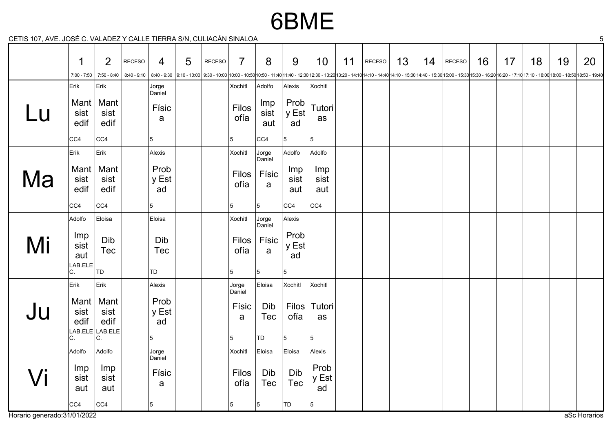### 6BME

CETIS 107, AVE. JOSÉ C. VALADEZ Y CALLE TIERRA S/N, CULIACÁN SINALOA 5

|    | 1                                   | 2                                             | <b>RECESO</b> | 4                                           | 5 | RECESO | $\overline{7}$            | 8                               | 9                        | 10                       | 11 | RECESO                                                                                                                                                                                                                          | 13 | 14 | RECESO | 16 | 17 | 18 | 19 | 20 |
|----|-------------------------------------|-----------------------------------------------|---------------|---------------------------------------------|---|--------|---------------------------|---------------------------------|--------------------------|--------------------------|----|---------------------------------------------------------------------------------------------------------------------------------------------------------------------------------------------------------------------------------|----|----|--------|----|----|----|----|----|
|    | 7:00 - 7:50                         |                                               |               |                                             |   |        |                           |                                 |                          |                          |    | 7:50 - 8:40 - 9:10   8:40 - 9:10   8:40 - 9:30   9:10 - 10:00   9:30 - 10:00   0:00 - 10:50   10:00 - 10:50   10:00 - 11:40   1:40 - 12:30   12:30 - 13:20   13:20 - 14:10   14:10 - 14:10   14:10 - 15:00   14:40 - 15:30   15 |    |    |        |    |    |    |    |    |
|    | Erik                                | Erik                                          |               | Jorge                                       |   |        | Xochitl                   | Adolfo                          | Alexis                   | Xochitl                  |    |                                                                                                                                                                                                                                 |    |    |        |    |    |    |    |    |
| Lu | Mant $ $<br>sist<br>edif            | Mant<br>sist<br>edif                          |               | Daniel<br>Físic<br>a                        |   |        | <b>Filos</b><br>ofía      | Imp<br>sist<br>aut              | Prob<br>y Est<br>ad      | Tutori<br>as             |    |                                                                                                                                                                                                                                 |    |    |        |    |    |    |    |    |
|    | CC4                                 | CC4                                           |               | $\overline{5}$                              |   |        | 5                         | CC4                             | 5                        | 5                        |    |                                                                                                                                                                                                                                 |    |    |        |    |    |    |    |    |
|    | Erik                                | Erik                                          |               | Alexis                                      |   |        | Xochitl                   | Jorge                           | Adolfo                   | Adolfo                   |    |                                                                                                                                                                                                                                 |    |    |        |    |    |    |    |    |
| Ma | Mant $ $<br>sist<br>edif            | Mant<br>sist<br>edif                          |               | Prob<br>y Est<br>ad                         |   |        | <b>Filos</b><br>ofía      | Daniel<br>Físic<br>$\mathbf{a}$ | Imp<br>sist<br>aut       | Imp<br>sist<br>aut       |    |                                                                                                                                                                                                                                 |    |    |        |    |    |    |    |    |
|    | CC4                                 | CC4                                           |               | 5                                           |   |        | 5                         | 5                               | CC4                      | CC4                      |    |                                                                                                                                                                                                                                 |    |    |        |    |    |    |    |    |
|    | Adolfo                              | Eloisa                                        |               | Eloisa                                      |   |        | Xochitl                   | Jorge                           | Alexis                   |                          |    |                                                                                                                                                                                                                                 |    |    |        |    |    |    |    |    |
| Mi | Imp<br>sist<br>aut<br>LAB.ELE<br>C. | Dib<br>Tec<br> TD                             |               | Dib<br><b>Tec</b><br>TD                     |   |        | <b>Filos</b><br>ofía<br>5 | Daniel<br>Físic<br>a<br>5       | Prob<br>y Est<br>ad<br>5 |                          |    |                                                                                                                                                                                                                                 |    |    |        |    |    |    |    |    |
|    | Erik                                | Erik                                          |               | Alexis                                      |   |        | Jorge                     | Eloisa                          | Xochitl                  | Xochitl                  |    |                                                                                                                                                                                                                                 |    |    |        |    |    |    |    |    |
| Ju | Mant $ $<br>sist<br>edif<br>C.      | Mant<br>sist<br>edif<br>LAB.ELE LAB.ELE<br>C. |               | Prob<br>y Est<br>ad<br>$\overline{5}$       |   |        | Daniel<br>Físic<br>a<br>5 | Dib<br><b>Tec</b><br>TD         | Filos<br>ofía<br>5       | $ T$ utori<br>as<br>15   |    |                                                                                                                                                                                                                                 |    |    |        |    |    |    |    |    |
|    | Adolfo                              | Adolfo                                        |               |                                             |   |        | <b>Xochitl</b>            | Eloisa                          | Eloisa                   | Alexis                   |    |                                                                                                                                                                                                                                 |    |    |        |    |    |    |    |    |
|    | Imp<br>sist<br>aut<br>CC4           | Imp<br>sist<br>aut<br> CC4                    |               | Jorge<br>Daniel<br>Físic<br>a<br>$\sqrt{5}$ |   |        | <b>Filos</b><br>ofía<br>5 | Dib<br><b>Tec</b><br>5          | Dib<br><b>Tec</b><br>TD  | Prob<br>y Est<br>ad<br>5 |    |                                                                                                                                                                                                                                 |    |    |        |    |    |    |    |    |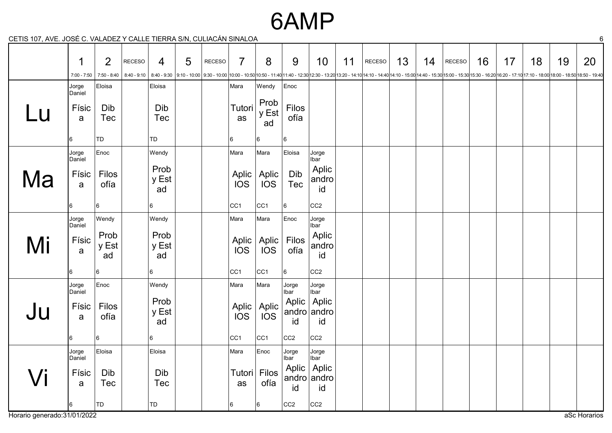#### 6AMP

CETIS 107, AVE. JOSÉ C. VALADEZ Y CALLE TIERRA S/N, CULIACÁN SINALOA 6

|    | 1<br>$7:00 - 7:50$ | $\overline{2}$<br>7:50 - 8:40 | <b>RECESO</b><br>$8:40 - 9:10$ | 4                   | $5\phantom{1}$ | RECESO | $\overline{7}$      | 8                   | 9               | 10                                 | 11 | RECESO<br>  8:40 - 9:30   9:10 - 10:00   9:30 - 10:00   9:30 - 10:00   10:00 - 10:50  10:00 - 11:40  11:40 - 12:30  12:30 - 13:20  13:20 - 14:10  14:10 - 14:40  14:10 - 15:00  14:40 - 15:30  15:00 - 16:30  15:00 - 16:20  16:20 - 17:1 | 13 | 14 | RECESO | 16 | 17 | 18 | 19 | 20 |
|----|--------------------|-------------------------------|--------------------------------|---------------------|----------------|--------|---------------------|---------------------|-----------------|------------------------------------|----|-------------------------------------------------------------------------------------------------------------------------------------------------------------------------------------------------------------------------------------------|----|----|--------|----|----|----|----|----|
|    | Jorge<br>Daniel    | Eloisa                        |                                | Eloisa              |                |        | Mara                | Wendy               | Enoc            |                                    |    |                                                                                                                                                                                                                                           |    |    |        |    |    |    |    |    |
| Lu | Físic<br>a         | Dib<br>Tec                    |                                | Dib<br>Tec          |                |        | Tutori<br>as        | Prob<br>y Est<br>ad | Filos<br>ofía   |                                    |    |                                                                                                                                                                                                                                           |    |    |        |    |    |    |    |    |
|    | 6                  | TD                            |                                | TD                  |                |        | 6                   | 6                   | 6               |                                    |    |                                                                                                                                                                                                                                           |    |    |        |    |    |    |    |    |
|    | Jorge<br>Daniel    | Enoc                          |                                | Wendy               |                |        | Mara                | Mara                | Eloisa          | Jorge<br>Ibar                      |    |                                                                                                                                                                                                                                           |    |    |        |    |    |    |    |    |
| Ma | Físic<br>a         | Filos<br>ofía                 |                                | Prob<br>y Est<br>ad |                |        | Aplic<br>IOS        | Aplic<br><b>IOS</b> | Dib<br>Tec      | Aplic<br>andro<br>id               |    |                                                                                                                                                                                                                                           |    |    |        |    |    |    |    |    |
|    | 6                  | 16                            |                                | 6                   |                |        | CC <sub>1</sub>     | CC <sub>1</sub>     | 6               | CC <sub>2</sub>                    |    |                                                                                                                                                                                                                                           |    |    |        |    |    |    |    |    |
|    | Jorge<br>Daniel    | Wendy                         |                                | Wendy               |                |        | Mara                | Mara                | Enoc            | Jorge<br>Ibar                      |    |                                                                                                                                                                                                                                           |    |    |        |    |    |    |    |    |
| Mi | Físic<br>a         | Prob<br>y Est<br>ad           |                                | Prob<br>y Est<br>ad |                |        | Aplic<br><b>IOS</b> | Aplic<br><b>IOS</b> | Filos<br>ofía   | Aplic<br>andro<br>id               |    |                                                                                                                                                                                                                                           |    |    |        |    |    |    |    |    |
|    | 6                  | 6                             |                                | 6                   |                |        | CC <sub>1</sub>     | CC <sub>1</sub>     | 6               | CC <sub>2</sub>                    |    |                                                                                                                                                                                                                                           |    |    |        |    |    |    |    |    |
|    | Jorge<br>Daniel    | Enoc                          |                                | Wendy               |                |        | Mara                | Mara                | Jorge<br>Ibar   | Jorge<br>Ibar                      |    |                                                                                                                                                                                                                                           |    |    |        |    |    |    |    |    |
| Ju | Físic<br>a         | <b>Filos</b><br>ofía          |                                | Prob<br>y Est<br>ad |                |        | Aplic<br><b>IOS</b> | Aplic<br>IOS        | id              | Aplic   Aplic<br>andro andro<br>id |    |                                                                                                                                                                                                                                           |    |    |        |    |    |    |    |    |
|    | 6                  | 16                            |                                | 6                   |                |        | CC <sub>1</sub>     | CC <sub>1</sub>     | CC <sub>2</sub> | CC <sub>2</sub>                    |    |                                                                                                                                                                                                                                           |    |    |        |    |    |    |    |    |
|    | Jorge<br>Daniel    | Eloisa                        |                                | Eloisa              |                |        | Mara                | Enoc                | Jorge<br>Ibar   | Jorge<br>Ibar                      |    |                                                                                                                                                                                                                                           |    |    |        |    |    |    |    |    |
| /i | Físic<br>a         | Dib<br>Tec                    |                                | Dib<br><b>Tec</b>   |                |        | Tutori<br>as        | Filos<br>ofía       | id              | Aplic   Aplic<br>andro andro<br>id |    |                                                                                                                                                                                                                                           |    |    |        |    |    |    |    |    |
|    | 6                  | TD                            |                                | TD                  |                |        | 16                  | 6                   | CC <sub>2</sub> | CC <sub>2</sub>                    |    |                                                                                                                                                                                                                                           |    |    |        |    |    |    |    |    |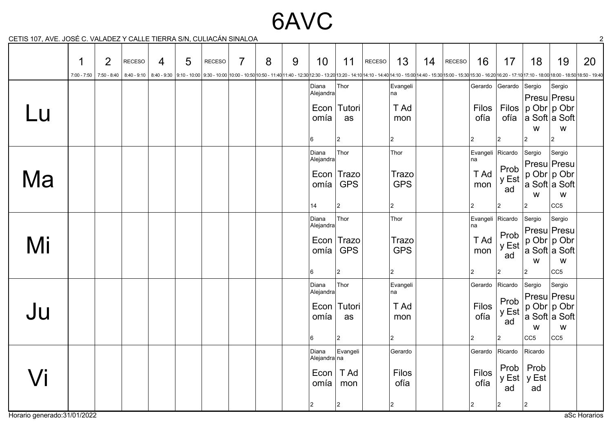## 6AVC

CETIS 107, AVE. JOSÉ C. VALADEZ Y CALLE TIERRA S/N, CULIACÁN SINALOA 2

|    | 1             | $\overline{2}$  | <b>RECESO</b> | $\overline{4}$ | 5 | <b>RECESO</b>                                                                                                                                                                                                                   | $\overline{7}$ | 8 | 9 | 10                         | 11                       | RECESO | 13                   | 14 | RECESO | 16                     | 17                  | 18                                  | 19                                                            | 20 |
|----|---------------|-----------------|---------------|----------------|---|---------------------------------------------------------------------------------------------------------------------------------------------------------------------------------------------------------------------------------|----------------|---|---|----------------------------|--------------------------|--------|----------------------|----|--------|------------------------|---------------------|-------------------------------------|---------------------------------------------------------------|----|
|    | $7:00 - 7:50$ | $  7:50 - 8:40$ |               |                |   | 830018:00 - 17:10 8:40 - 9:30 9:10 - 10:00 9:30 - 10:00 10:00 - 10:00 10:00 - 10:50 10:50 - 11:40 12:30 - 12:30 13:20 - 13:20 13:20 - 14:10 14:10 - 14:10 14:10 - 12:30 14:40 - 12:00 14:40 - 12:30 15:00 - 15:30 15:00 - 16:20 |                |   |   |                            |                          |        |                      |    |        |                        |                     |                                     |                                                               |    |
|    |               |                 |               |                |   |                                                                                                                                                                                                                                 |                |   |   | Diana<br>$ $ Alejandra $ $ | Thor                     |        | Evangeli<br>na       |    |        |                        | Gerardo Gerardo     | Sergio                              | Sergio<br>Presu Presu                                         |    |
| Lu |               |                 |               |                |   |                                                                                                                                                                                                                                 |                |   |   | omía                       | Econ   Tutori<br>as      |        | T Ad<br>mon          |    |        | <b>Filos</b><br>ofía   | Filos<br>ofía       | $ p \text{ Obr} p \text{ Obr}$<br>W | ∣a Soft∣a Soft<br>W                                           |    |
|    |               |                 |               |                |   |                                                                                                                                                                                                                                 |                |   |   | 16                         | 2                        |        | 2                    |    |        |                        | 12                  | 2                                   | $ 2\rangle$                                                   |    |
|    |               |                 |               |                |   |                                                                                                                                                                                                                                 |                |   |   | Diana<br>Alejandra         | Thor                     |        | Thor                 |    |        | Evangeli<br>na         | Ricardo             | Sergio                              | Sergio<br>Presu Presu                                         |    |
| Ma |               |                 |               |                |   |                                                                                                                                                                                                                                 |                |   |   | omía                       | Econ Trazo<br><b>GPS</b> |        | Trazo<br><b>GPS</b>  |    |        | T Ad<br>mon            | Prob<br>y Est<br>ad | W                                   | ∣p Obr ∣p Obr<br>∣a Soft∣a Soft<br>W                          |    |
|    |               |                 |               |                |   |                                                                                                                                                                                                                                 |                |   |   | 14                         | $ 2\rangle$              |        | 2                    |    |        |                        | 2                   | $\overline{2}$                      | CC <sub>5</sub>                                               |    |
|    |               |                 |               |                |   |                                                                                                                                                                                                                                 |                |   |   | Diana<br>Alejandra         | Thor                     |        | Thor                 |    |        | Evangeli Ricardo<br>na |                     | Sergio                              | Sergio                                                        |    |
| Mi |               |                 |               |                |   |                                                                                                                                                                                                                                 |                |   |   | Econ<br>omía               | Trazo<br><b>GPS</b>      |        | Trazo<br><b>GPS</b>  |    |        | T Ad<br>mon            | Prob<br>y Est<br>ad | W                                   | Presu Presu<br>p Obr p Obr<br>∣a Soft∣a Soft<br>${\mathsf W}$ |    |
|    |               |                 |               |                |   |                                                                                                                                                                                                                                 |                |   |   | 6                          | $\overline{c}$           |        | $ 2\rangle$          |    |        | $\overline{2}$         | 2                   | $\overline{2}$                      | CC <sub>5</sub>                                               |    |
|    |               |                 |               |                |   |                                                                                                                                                                                                                                 |                |   |   | Diana<br>Alejandra         | Thor                     |        | Evangeli<br>na       |    |        | Gerardo                | Ricardo             | Sergio                              | Sergio<br>Presu Presu                                         |    |
| Ju |               |                 |               |                |   |                                                                                                                                                                                                                                 |                |   |   | Econ<br>omía               | Tutori<br>as             |        | T Ad<br>mon          |    |        | Filos<br>ofía          | Prob<br>y Est<br>ad | W                                   | ∣p Obr p Obr<br>a Soft a Soft<br>W                            |    |
|    |               |                 |               |                |   |                                                                                                                                                                                                                                 |                |   |   | 6                          | 2                        |        | 2                    |    |        | $\overline{2}$         | $ 2\rangle$         | CC5                                 | CC <sub>5</sub>                                               |    |
|    |               |                 |               |                |   |                                                                                                                                                                                                                                 |                |   |   | Diana<br>Alejandra∣na      | Evangeli                 |        | Gerardo              |    |        | Gerardo                | Ricardo             | Ricardo                             |                                                               |    |
| /i |               |                 |               |                |   |                                                                                                                                                                                                                                 |                |   |   | Econ<br>omía               | T Ad<br>mon              |        | <b>Filos</b><br>ofía |    |        | Filos<br>ofía          | Prob<br>y Est<br>ad | Prob<br>y Est<br>ad                 |                                                               |    |
|    |               |                 |               |                |   |                                                                                                                                                                                                                                 |                |   |   | 2                          | $ 2\rangle$              |        | 2                    |    |        | 2                      | $ 2\rangle$         | 2                                   |                                                               |    |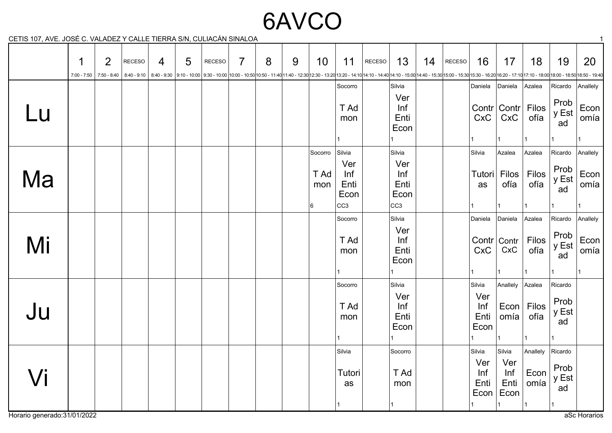# 6AVCO

CETIS 107, AVE. JOSÉ C. VALADEZ Y CALLE TIERRA S/N, CULIACÁN SINALOA 1

|    | 1 | $\overline{2}$<br>$7:00 - 7:50$ 7:50 - 8:40 | <b>RECESO</b> | $\overline{4}$ | 5 | <b>RECESO</b><br>8:40-9:10 8:40 - 9:30 9:10 - 10:00 9:30 - 10:00 10:00 - 10:00 10:00 - 10:50 10:50 - 11:40 11:40 - 12:30 12:30 - 13:20 13:20 - 14:10 14:10 - 14:10 14:10 - 15:00 14:40 - 15:30 15:00 - 15:30 15:00 - 16:20 16:20 - 17:10 17:10 - | $\overline{7}$ | 8 | 9 | 10                           | 11                                                      | <b>RECESO</b> | 13                                                      | 14 | RECESO | 16                                   | 17                                         | 18                                       | 19                                             | 20                                    |
|----|---|---------------------------------------------|---------------|----------------|---|--------------------------------------------------------------------------------------------------------------------------------------------------------------------------------------------------------------------------------------------------|----------------|---|---|------------------------------|---------------------------------------------------------|---------------|---------------------------------------------------------|----|--------|--------------------------------------|--------------------------------------------|------------------------------------------|------------------------------------------------|---------------------------------------|
| Lu |   |                                             |               |                |   |                                                                                                                                                                                                                                                  |                |   |   |                              | Socorro<br>T Ad<br>mon                                  |               | Silvia<br>Ver<br>Inf<br>Enti<br>Econ                    |    |        | Daniela<br>CxC                       | Daniela<br>CxC                             | Azalea<br>Contr Contr Filos<br>ofía      | Ricardo<br>Prob<br>y Est<br>ad                 | Anallely<br>Econ  <br>omía            |
| Ma |   |                                             |               |                |   |                                                                                                                                                                                                                                                  |                |   |   | Socorro<br>T Ad<br>mon<br> 6 | Silvia<br>Ver<br>Inf<br>Enti<br>Econ<br>CC <sub>3</sub> |               | Silvia<br>Ver<br>Inf<br>Enti<br>Econ<br>CC <sub>3</sub> |    |        | Silvia<br>Tutori<br>as               | Azalea<br>Filos<br>ofía                    | Azalea<br>Filos<br>ofía                  | Ricardo<br>Prob<br>y Est<br>ad                 | Anallely<br>Econ  <br>omía            |
| Mi |   |                                             |               |                |   |                                                                                                                                                                                                                                                  |                |   |   |                              | Socorro<br>T Ad<br>mon                                  |               | Silvia<br>Ver<br>Inf<br>Enti<br>Econ                    |    |        | Daniela<br><b>CxC</b>                | Daniela<br>Contr Contr <br>CxC             | Azalea<br>Filos<br>ofía                  | Ricardo<br>Prob<br>y Est<br>ad                 | Anallely<br>Econ <sup>1</sup><br>omía |
| Ju |   |                                             |               |                |   |                                                                                                                                                                                                                                                  |                |   |   |                              | Socorro<br>T Ad<br>mon                                  |               | Silvia<br>Ver<br>Inf<br>Enti<br>Econ                    |    |        | Silvia<br>Ver<br>Inf<br>Enti<br>Econ | Anallely Azalea<br>Econ<br>omía<br>11      | Filos<br>ofía<br>1                       | Ricardo<br>Prob<br>y Est<br>ad<br>$\mathbf{1}$ |                                       |
| /i |   |                                             |               |                |   |                                                                                                                                                                                                                                                  |                |   |   |                              | Silvia<br>Tutori<br>as                                  |               | Socorro<br>T Ad<br>mon                                  |    |        | Silvia<br>Ver<br>Inf<br>Enti<br>Econ | Silvia<br>Ver<br>Inf<br>Enti<br>Econ<br>11 | Anallely<br>Econ<br>omía<br>$\mathbf{1}$ | Ricardo<br>Prob<br>y Est<br>ad<br>1            |                                       |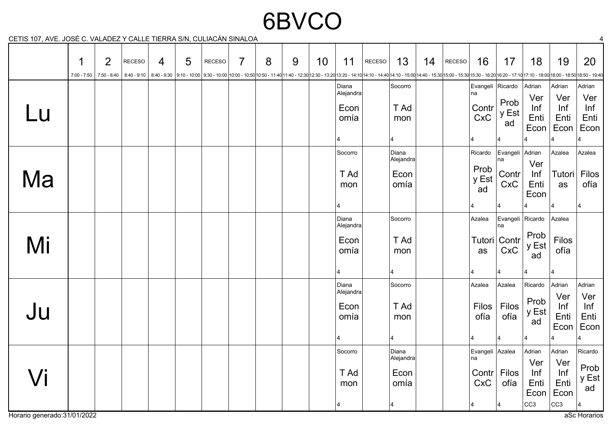# 6BVCO

CETIS 107, AVE. JOSÉ C. VALADEZ Y CALLE TIERRA S/N, CULIACÁN SINALOA 4

|    | 1<br>$7:00 - 7:50$ | $\overline{2}$<br>$  7:50 - 8:40$ | <b>RECESO</b><br>$8:40 - 9:10$ | $\overline{4}$ | 5 | <b>RECESO</b><br>8:40-9:30  9:10-10:00  9:30-10:00  9:30-10:00  9:30-10:00 -10:00 10:00-11:40  1:40-12:30  12:30 - 13:20  13:20-14:10  14:10-14:40   4:10-15:00   4:40-15:30   15:00-15:30   15:00-16:30 - 16:20   16:20 - 17:10   17:10 - 18:00 | $\overline{7}$ | 8 | 9 | 10 | 11                                                                    | RECESO | 13                                       | 14 | RECESO | 16                                            | 17                                                     | 18                                                      | 19                                                    | 20                                                |
|----|--------------------|-----------------------------------|--------------------------------|----------------|---|--------------------------------------------------------------------------------------------------------------------------------------------------------------------------------------------------------------------------------------------------|----------------|---|---|----|-----------------------------------------------------------------------|--------|------------------------------------------|----|--------|-----------------------------------------------|--------------------------------------------------------|---------------------------------------------------------|-------------------------------------------------------|---------------------------------------------------|
| Lu |                    |                                   |                                |                |   |                                                                                                                                                                                                                                                  |                |   |   |    | Diana<br>Alejandra<br>Econ<br>omía                                    |        | Socorro<br>T Ad<br>mon                   |    |        | Evangeli Ricardo<br>na<br>Contr<br><b>CxC</b> | Prob<br>y Est<br>ad                                    | Adrian<br>Ver<br>Inf<br>Enti<br>Econ                    | Adrian<br>Ver<br>Inf<br>Enti<br>Econ                  | Adrian<br>Ver<br>Inf<br>Enti<br>Econ              |
| Ma |                    |                                   |                                |                |   |                                                                                                                                                                                                                                                  |                |   |   |    | Socorro<br>T Ad<br>mon<br>4                                           |        | Diana<br>Alejandra<br>Econ<br>omía       |    |        | Ricardo<br>Prob<br>y Est<br>ad                | Evangeli Adrian<br>na<br>Contr<br><b>CxC</b>           | Ver<br>Inf<br>Enti<br>Econ                              | Azalea<br>Tutori<br>as<br>14                          | Azalea<br>Filos<br>ofía                           |
| Mi |                    |                                   |                                |                |   |                                                                                                                                                                                                                                                  |                |   |   |    | Diana<br>Alejandra<br>Econ<br>omía<br>4                               |        | Socorro<br>T Ad<br>mon<br>$\overline{4}$ |    |        | Azalea<br>as                                  | Evangeli Ricardo<br>na<br>Tutori   Contr<br><b>CxC</b> | Prob<br>y Est<br>ad                                     | Azalea<br>Filos<br>ofía                               |                                                   |
| Ju |                    |                                   |                                |                |   |                                                                                                                                                                                                                                                  |                |   |   |    | Diana<br>$ \mathsf{A}$ lejandra $ $<br>Econ<br>omía<br>$\overline{4}$ |        | Socorro<br>T Ad<br>mon<br>$\overline{4}$ |    |        | Azalea<br>Filos<br>ofía                       | Azalea<br>Filos<br>ofía                                | Ricardo<br>Prob<br>y Est<br>ad                          | Adrian<br>Ver<br>Inf<br>Enti<br>Econ                  | Adrian<br>Ver<br>Inf<br>Enti<br>Econ              |
| Vi |                    |                                   |                                |                |   |                                                                                                                                                                                                                                                  |                |   |   |    | Socorro<br>T Ad<br>mon<br>4                                           |        | Diana<br>Alejandra<br>Econ<br>omía       |    |        | Evangeli Azalea<br>na<br>Contr<br><b>CxC</b>  | <b>Filos</b><br>ofía<br>14                             | Adrian<br>Ver<br>Inf<br>Enti<br>Econ<br>CC <sub>3</sub> | Adrian<br>Ver<br>Inf<br>Enti<br>Econ<br>$ cc3\rangle$ | Ricardo<br>Prob<br>y Est<br>ad<br>$\vert 4 \vert$ |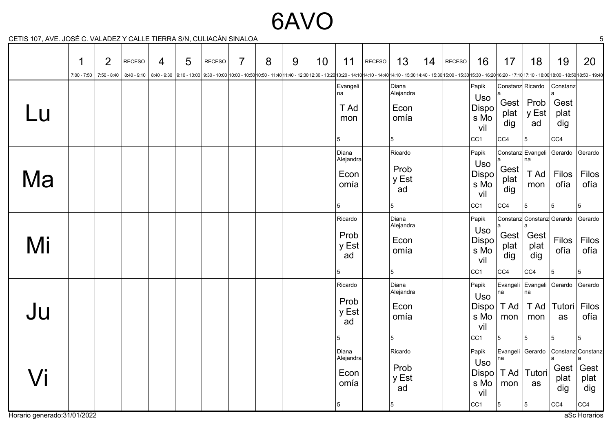### 6AVO

CETIS 107, AVE. JOSÉ C. VALADEZ Y CALLE TIERRA S/N, CULIACÁN SINALOA 5

|    | 1 | $\overline{2}$<br>$7:00 - 7:50$ 7:50 - 8:40 | <b>RECESO</b> | 4 | 5 | <b>RECESO</b> | 7 | 8 | 9 | 10 | 11                                      | <b>RECESO</b> | 13<br>830018:00 - 17:10 8:40 - 9:30 9:10 - 10:00 9:30 - 10:00 10:00 - 10:00 10:00 - 10:50 10:50 - 11:40 12:30 - 12:30 13:20 - 13:20 13:20 - 14:10 14:10 - 14:10 14:10 - 12:30 14:40 - 12:00 14:40 - 12:30 15:00 - 15:30 15:00 - 16:20 | 14 | <b>RECESO</b> | 16                                                      | 17                                     | 18                                                                   | 19                                     | 20                                                                        |
|----|---|---------------------------------------------|---------------|---|---|---------------|---|---|---|----|-----------------------------------------|---------------|---------------------------------------------------------------------------------------------------------------------------------------------------------------------------------------------------------------------------------------|----|---------------|---------------------------------------------------------|----------------------------------------|----------------------------------------------------------------------|----------------------------------------|---------------------------------------------------------------------------|
| Lu |   |                                             |               |   |   |               |   |   |   |    | Evangeli<br>na<br>T Ad<br>mon<br>5      |               | Diana<br>Alejandra<br>Econ<br>omía<br>5                                                                                                                                                                                               |    |               | Papik<br>Uso<br>Dispo<br>s Mo<br>vil<br>$ cc_1 $        | Constanz Ricardo<br>plat<br>dig<br>CC4 | Gest   $Prob$<br>y Est<br>ad<br>5                                    | Constanz<br>Gest<br>plat<br>dig<br>CC4 |                                                                           |
| Ma |   |                                             |               |   |   |               |   |   |   |    | Diana<br>Alejandra<br>Econ<br>omía<br>5 |               | Ricardo<br>Prob<br>y Est<br>ad<br>5                                                                                                                                                                                                   |    |               | Papik<br>Uso<br>Dispo<br>s Mo<br>vil<br>CC <sub>1</sub> | Gest<br>plat<br>dig<br>CC4             | Constanz Evangeli Gerardo<br>na<br>T Ad<br>mon<br>5                  | Filos<br>ofía<br>5                     | Gerardo<br>Filos<br>ofía                                                  |
| Mi |   |                                             |               |   |   |               |   |   |   |    | Ricardo<br>Prob<br>y Est<br>ad<br>5     |               | Diana<br>Alejandra<br>Econ<br>omía<br>5                                                                                                                                                                                               |    |               | Papik<br>Uso<br>Dispo<br>s Mo<br>vil<br>$ cc_1 $        | Gest<br>plat<br>dig<br>CC4             | Constanz Constanz Gerardo<br>Gest<br>plat<br>dig<br>  <sub>CC4</sub> | Filos<br>ofía<br>5                     | Gerardo<br>Filos<br>ofía<br>5                                             |
| Ju |   |                                             |               |   |   |               |   |   |   |    | Ricardo<br>Prob<br>y Est<br>ad<br>5     |               | Diana<br>Alejandra<br>Econ<br>omía<br>5                                                                                                                                                                                               |    |               | Papik<br>Uso<br>Dispo<br>s Mo<br>vil<br>$ _{CC1}$       | na<br>T Ad<br>mon<br>5                 | Evangeli Evangeli Gerardo<br>na<br>T Ad<br>mon<br>5                  | Tutori<br>as<br>15                     | Gerardo<br>Filos<br>ofía<br>5                                             |
| /i |   |                                             |               |   |   |               |   |   |   |    | Diana<br>Alejandra<br>Econ<br>omía<br>5 |               | Ricardo<br>Prob<br>y Est<br>ad<br>5                                                                                                                                                                                                   |    |               | Papik<br>Uso<br>Dispo<br>s Mo<br>vil<br> CC1            | na<br>T Ad<br>mon<br>5                 | Evangeli Gerardo<br>Tutori<br>as<br>5                                | plat<br>dig<br>CC4                     | Constanz Constanz<br>Gest $\vert$ Gest<br>plat<br>dig<br>  <sub>CC4</sub> |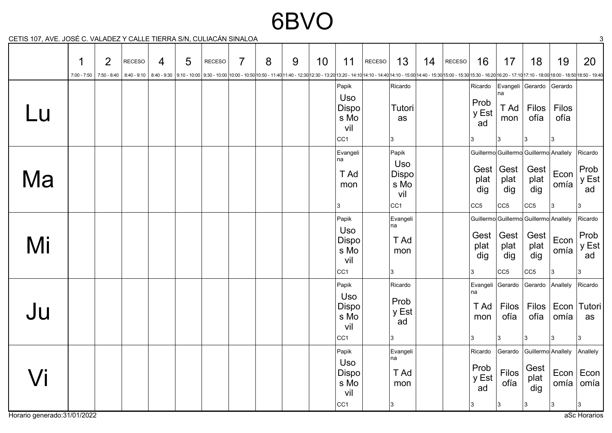## 6BVO

CETIS 107, AVE. JOSÉ C. VALADEZ Y CALLE TIERRA S/N, CULIACÁN SINALOA 3

|                     | 1<br>$7:00 - 7:50$ | $\overline{2}$<br>$  7:50 - 8:40$ | <b>RECESO</b><br>$8:40 - 9:10$ | 4 | 5 | <b>RECESO</b><br>8:40-9:30  9:10-10:00 9:30-10:00  9:30-10:00  9:30-10:00 -10:00 10:00-11:40 11:40-12:30 12:30 - 13:20 13:20-14:10 14:10-14:40 14:10-15:00 14:40-15:30 15:00-15:30 15:00-16:30 16:30-16:20 -17:10 17:10-18:00 18:00-18:50 18:50- | $\overline{7}$ | 8 | 9 | 10 | 11                                                      | RECESO | 13                                                             | 14 | RECESO | 16                                  | 17                                             | 18                                                                    | 19                             | 20                                             |
|---------------------|--------------------|-----------------------------------|--------------------------------|---|---|--------------------------------------------------------------------------------------------------------------------------------------------------------------------------------------------------------------------------------------------------|----------------|---|---|----|---------------------------------------------------------|--------|----------------------------------------------------------------|----|--------|-------------------------------------|------------------------------------------------|-----------------------------------------------------------------------|--------------------------------|------------------------------------------------|
| Lu                  |                    |                                   |                                |   |   |                                                                                                                                                                                                                                                  |                |   |   |    | Papik<br>Uso<br>Dispo<br>s Mo<br>vil<br>CC <sub>1</sub> |        | Ricardo<br>Tutori<br>as<br>3                                   |    |        | Ricardo<br>Prob<br>y Est<br>ad      | na<br>T Ad<br>mon<br>13                        | Evangeli Gerardo<br><b>Filos</b><br>ofía<br>3                         | Gerardo<br>Filos<br>ofía<br>l3 |                                                |
| Ma                  |                    |                                   |                                |   |   |                                                                                                                                                                                                                                                  |                |   |   |    | Evangeli<br>na<br>T Ad<br>mon<br>3                      |        | Papik<br>Uso<br><b>Dispo</b><br>s Mo<br>vil<br>CC <sub>1</sub> |    |        | plat<br>dig<br>CC <sub>5</sub>      | Gest   Gest<br>plat<br>dig<br> CC5             | Guillermo Guillermo Guillermo Anallely<br>Gest<br>plat<br>dig<br> CC5 | Econ<br>omía<br>3              | Ricardo<br>Prob<br>y Est<br>ad                 |
| Mi                  |                    |                                   |                                |   |   |                                                                                                                                                                                                                                                  |                |   |   |    | Papik<br>Uso<br>Dispo<br>s Mo<br>vil<br>CC <sub>1</sub> |        | Evangeli<br>na<br>T Ad<br>mon<br>3                             |    |        | Gest<br>plat<br>dig                 | Gest<br>plat<br>dig<br> CC5                    | Guillermo Guillermo Guillermo Anallely<br>Gest<br>plat<br>dig<br> CC5 | Econ<br>omía<br>3              | Ricardo<br>Prob<br>y Est<br>ad                 |
| Ju                  |                    |                                   |                                |   |   |                                                                                                                                                                                                                                                  |                |   |   |    | Papik<br>Uso<br>Dispo<br>s Mo<br>vil<br>CC <sub>1</sub> |        | Ricardo<br>Prob<br>y Est<br>ad<br>3                            |    |        | na<br>T Ad<br>mon<br>3              | Evangeli Gerardo<br>Filos<br>ofía<br> 3        | Gerardo Anallely<br>Filos<br>ofía<br>3                                | Econ<br>omía<br>3              | Ricardo<br>Tutori<br>as<br>3                   |
| $\sqrt{\mathsf{i}}$ |                    |                                   |                                |   |   |                                                                                                                                                                                                                                                  |                |   |   |    | Papik<br>Uso<br>Dispo<br>s Mo<br>vil<br>$ cc_1 $        |        | Evangeli<br>na<br>T Ad<br>mon<br>3                             |    |        | Ricardo<br>Prob<br>y Est<br>ad<br>3 | Gerardo<br><b>Filos</b><br>ofía<br>$ 3\rangle$ | Guillermo Anallely<br>Gest<br>plat<br>dig<br>3                        | omía<br>3                      | Anallely<br>Econ  Econ <br>omía<br>$ 3\rangle$ |